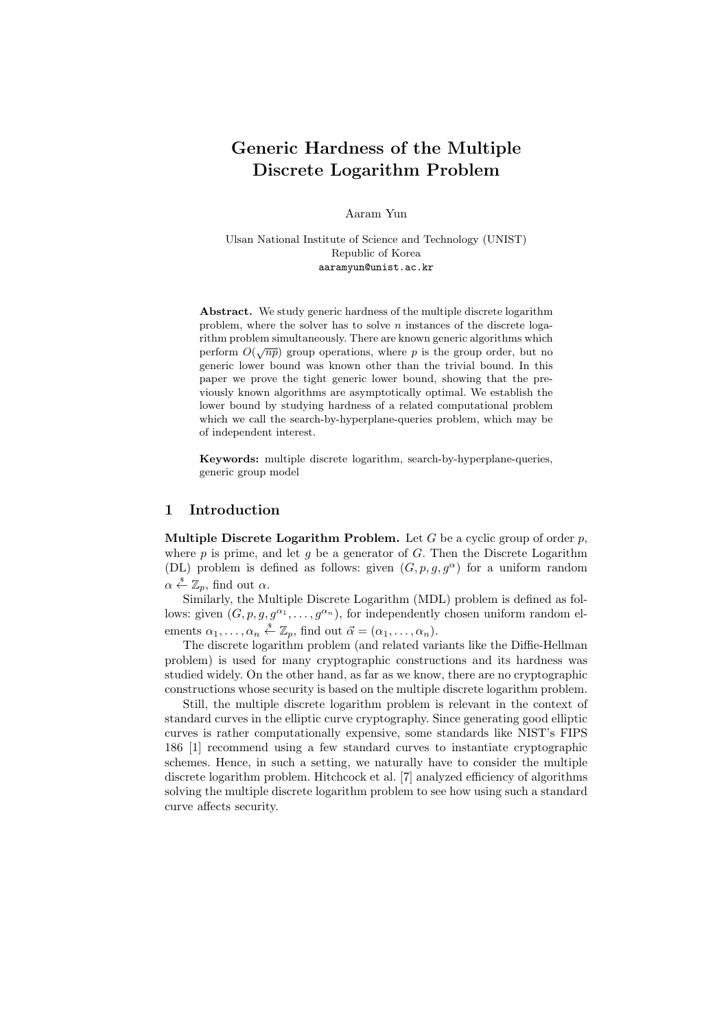# Generic Hardness of the Multiple Discrete Logarithm Problem

Aaram Yun

Ulsan National Institute of Science and Technology (UNIST) Republic of Korea aaramyun@unist.ac.kr

Abstract. We study generic hardness of the multiple discrete logarithm problem, where the solver has to solve  $n$  instances of the discrete logarithm problem simultaneously. There are known generic algorithms which perform  $O(\sqrt{np})$  group operations, where p is the group order, but no generic lower bound was known other than the trivial bound. In this paper we prove the tight generic lower bound, showing that the previously known algorithms are asymptotically optimal. We establish the lower bound by studying hardness of a related computational problem which we call the search-by-hyperplane-queries problem, which may be of independent interest.

Keywords: multiple discrete logarithm, search-by-hyperplane-queries, generic group model

### 1 Introduction

Multiple Discrete Logarithm Problem. Let G be a cyclic group of order  $p$ , where  $p$  is prime, and let  $q$  be a generator of  $G$ . Then the Discrete Logarithm (DL) problem is defined as follows: given  $(G, p, g, g^{\alpha})$  for a uniform random  $\alpha \stackrel{\hspace{0.1em}\mathsf{\scriptscriptstyle\$}}{\leftarrow} \mathbb{Z}_p$ , find out  $\alpha$ .

Similarly, the Multiple Discrete Logarithm (MDL) problem is defined as follows: given  $(G, p, g, g^{\alpha_1}, \ldots, g^{\alpha_n})$ , for independently chosen uniform random elements  $\alpha_1, \ldots, \alpha_n \stackrel{\hspace{0.1em}\mathsf{\scriptscriptstyle\$}}{\leftarrow} \mathbb{Z}_p$ , find out  $\vec{\alpha} = (\alpha_1, \ldots, \alpha_n)$ .

The discrete logarithm problem (and related variants like the Diffie-Hellman problem) is used for many cryptographic constructions and its hardness was studied widely. On the other hand, as far as we know, there are no cryptographic constructions whose security is based on the multiple discrete logarithm problem.

Still, the multiple discrete logarithm problem is relevant in the context of standard curves in the elliptic curve cryptography. Since generating good elliptic curves is rather computationally expensive, some standards like NIST's FIPS 186 [1] recommend using a few standard curves to instantiate cryptographic schemes. Hence, in such a setting, we naturally have to consider the multiple discrete logarithm problem. Hitchcock et al. [7] analyzed efficiency of algorithms solving the multiple discrete logarithm problem to see how using such a standard curve affects security.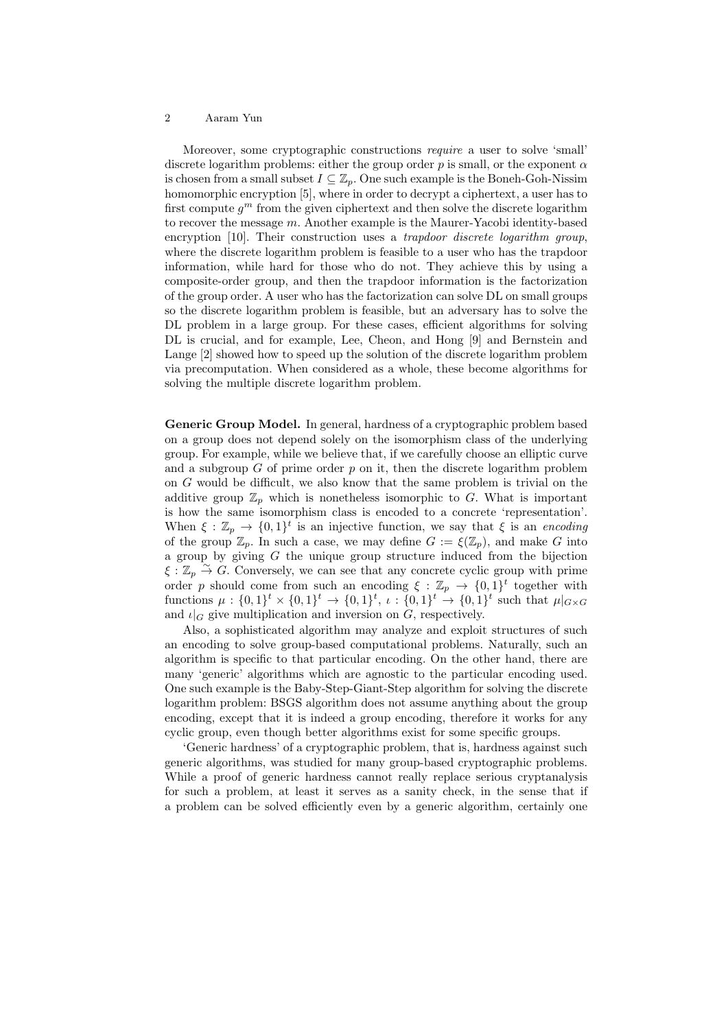Moreover, some cryptographic constructions require a user to solve 'small' discrete logarithm problems: either the group order p is small, or the exponent  $\alpha$ is chosen from a small subset  $I \subseteq \mathbb{Z}_p$ . One such example is the Boneh-Goh-Nissim homomorphic encryption [5], where in order to decrypt a ciphertext, a user has to first compute  $g^m$  from the given ciphertext and then solve the discrete logarithm to recover the message  $m$ . Another example is the Maurer-Yacobi identity-based encryption [10]. Their construction uses a *trapdoor discrete logarithm group*, where the discrete logarithm problem is feasible to a user who has the trapdoor information, while hard for those who do not. They achieve this by using a composite-order group, and then the trapdoor information is the factorization of the group order. A user who has the factorization can solve DL on small groups so the discrete logarithm problem is feasible, but an adversary has to solve the DL problem in a large group. For these cases, efficient algorithms for solving DL is crucial, and for example, Lee, Cheon, and Hong [9] and Bernstein and Lange [2] showed how to speed up the solution of the discrete logarithm problem via precomputation. When considered as a whole, these become algorithms for solving the multiple discrete logarithm problem.

Generic Group Model. In general, hardness of a cryptographic problem based on a group does not depend solely on the isomorphism class of the underlying group. For example, while we believe that, if we carefully choose an elliptic curve and a subgroup  $G$  of prime order  $p$  on it, then the discrete logarithm problem on G would be difficult, we also know that the same problem is trivial on the additive group  $\mathbb{Z}_p$  which is nonetheless isomorphic to G. What is important is how the same isomorphism class is encoded to a concrete 'representation'. When  $\xi : \mathbb{Z}_p \to \{0,1\}^t$  is an injective function, we say that  $\xi$  is an encoding of the group  $\mathbb{Z}_p$ . In such a case, we may define  $G := \xi(\mathbb{Z}_p)$ , and make G into a group by giving  $G$  the unique group structure induced from the bijection  $\xi : \mathbb{Z}_p \overset{\sim}{\to} G$ . Conversely, we can see that any concrete cyclic group with prime order p should come from such an encoding  $\xi : \mathbb{Z}_p \to \{0,1\}^t$  together with functions  $\mu: \{0,1\}^t \times \{0,1\}^t \to \{0,1\}^t$ ,  $\iota: \{0,1\}^t \to \{0,1\}^t$  such that  $\mu|_{G \times G}$ and  $\iota|_G$  give multiplication and inversion on G, respectively.

Also, a sophisticated algorithm may analyze and exploit structures of such an encoding to solve group-based computational problems. Naturally, such an algorithm is specific to that particular encoding. On the other hand, there are many 'generic' algorithms which are agnostic to the particular encoding used. One such example is the Baby-Step-Giant-Step algorithm for solving the discrete logarithm problem: BSGS algorithm does not assume anything about the group encoding, except that it is indeed a group encoding, therefore it works for any cyclic group, even though better algorithms exist for some specific groups.

'Generic hardness' of a cryptographic problem, that is, hardness against such generic algorithms, was studied for many group-based cryptographic problems. While a proof of generic hardness cannot really replace serious cryptanalysis for such a problem, at least it serves as a sanity check, in the sense that if a problem can be solved efficiently even by a generic algorithm, certainly one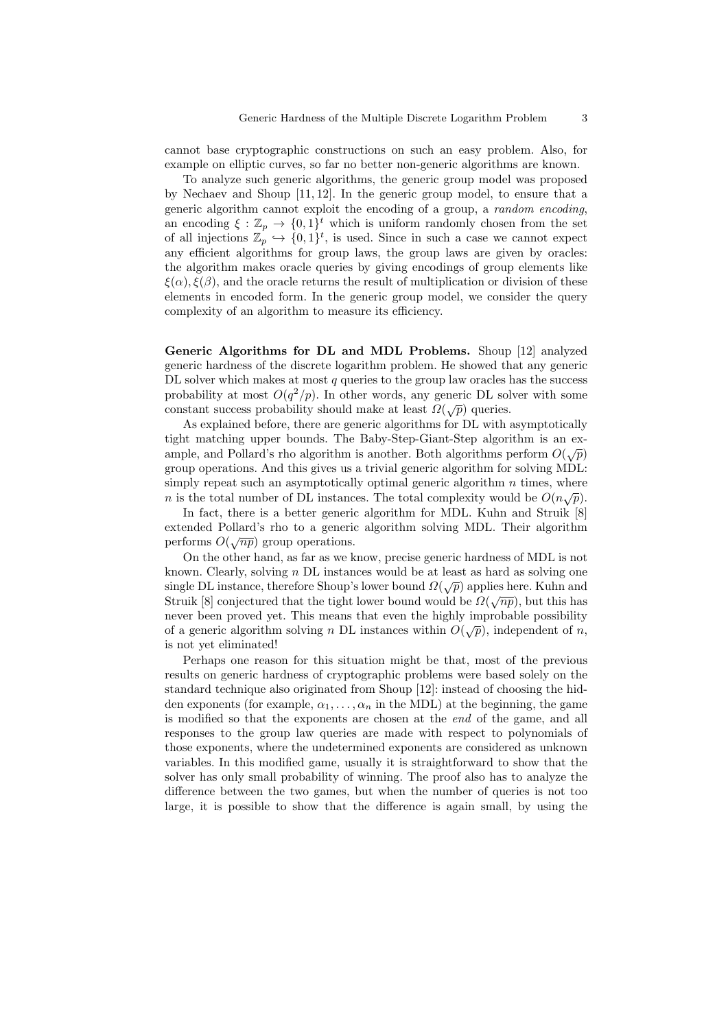cannot base cryptographic constructions on such an easy problem. Also, for example on elliptic curves, so far no better non-generic algorithms are known.

To analyze such generic algorithms, the generic group model was proposed by Nechaev and Shoup [11, 12]. In the generic group model, to ensure that a generic algorithm cannot exploit the encoding of a group, a random encoding, an encoding  $\xi : \mathbb{Z}_p \to \{0,1\}^t$  which is uniform randomly chosen from the set of all injections  $\mathbb{Z}_p \hookrightarrow \{0,1\}^t$ , is used. Since in such a case we cannot expect any efficient algorithms for group laws, the group laws are given by oracles: the algorithm makes oracle queries by giving encodings of group elements like  $\xi(\alpha)$ ,  $\xi(\beta)$ , and the oracle returns the result of multiplication or division of these elements in encoded form. In the generic group model, we consider the query complexity of an algorithm to measure its efficiency.

Generic Algorithms for DL and MDL Problems. Shoup [12] analyzed generic hardness of the discrete logarithm problem. He showed that any generic DL solver which makes at most  $q$  queries to the group law oracles has the success probability at most  $O(q^2/p)$ . In other words, any generic DL solver with some probability at most  $O(q/p)$ . In other words, any generic DD solonistant success probability should make at least  $\Omega(\sqrt{p})$  queries.

As explained before, there are generic algorithms for DL with asymptotically tight matching upper bounds. The Baby-Step-Giant-Step algorithm is an example, and Pollard's rho algorithm is another. Both algorithms perform  $O(\sqrt{p})$ group operations. And this gives us a trivial generic algorithm for solving MDL: simply repeat such an asymptotically optimal generic algorithm  $n$  times, where n is the total number of DL instances. The total complexity would be  $O(n\sqrt{p})$ .

In fact, there is a better generic algorithm for MDL. Kuhn and Struik [8] extended Pollard's rho to a generic algorithm solving MDL. Their algorithm executed 1 onard s 1 no to a generation-

On the other hand, as far as we know, precise generic hardness of MDL is not known. Clearly, solving  $n$  DL instances would be at least as hard as solving one single DL instance, therefore Shoup's lower bound  $\Omega(\sqrt{p})$  applies here. Kuhn and single DL instance, therefore Shoup's lower bound  $\Omega(\sqrt{p})$  applies here. Kuhn and Struik [8] conjectured that the tight lower bound would be  $\Omega(\sqrt{np})$ , but this has never been proved yet. This means that even the highly improbable possibility of a generic algorithm solving n DL instances within  $O(\sqrt{p})$ , independent of n, is not yet eliminated!

Perhaps one reason for this situation might be that, most of the previous results on generic hardness of cryptographic problems were based solely on the standard technique also originated from Shoup [12]: instead of choosing the hidden exponents (for example,  $\alpha_1, \ldots, \alpha_n$  in the MDL) at the beginning, the game is modified so that the exponents are chosen at the end of the game, and all responses to the group law queries are made with respect to polynomials of those exponents, where the undetermined exponents are considered as unknown variables. In this modified game, usually it is straightforward to show that the solver has only small probability of winning. The proof also has to analyze the difference between the two games, but when the number of queries is not too large, it is possible to show that the difference is again small, by using the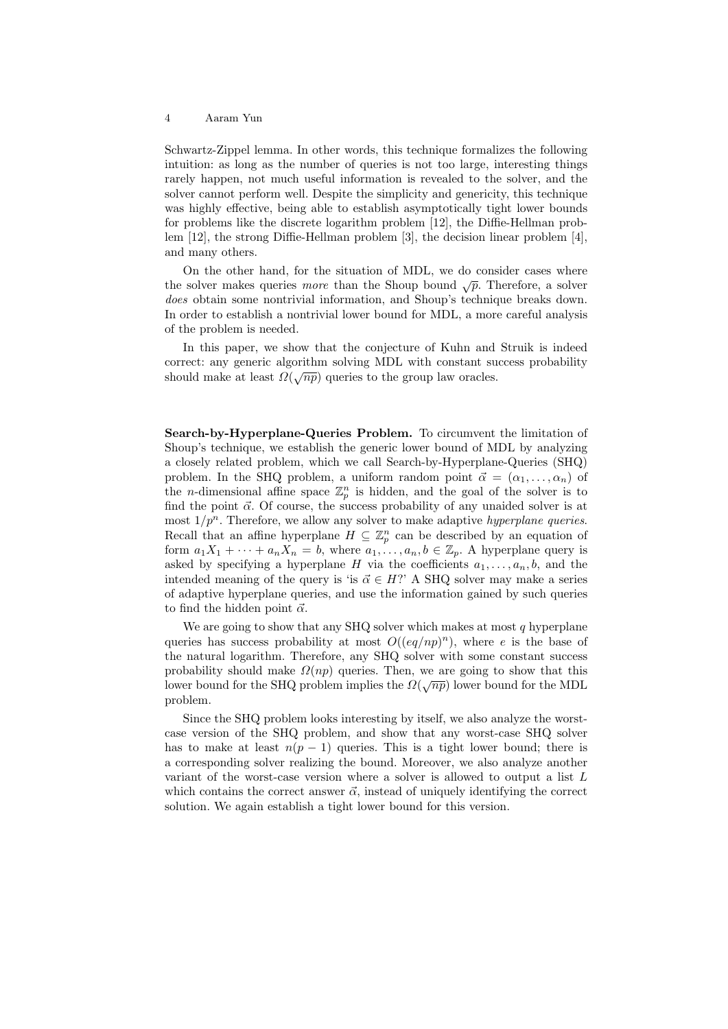Schwartz-Zippel lemma. In other words, this technique formalizes the following intuition: as long as the number of queries is not too large, interesting things rarely happen, not much useful information is revealed to the solver, and the solver cannot perform well. Despite the simplicity and genericity, this technique was highly effective, being able to establish asymptotically tight lower bounds for problems like the discrete logarithm problem [12], the Diffie-Hellman problem [12], the strong Diffie-Hellman problem [3], the decision linear problem [4], and many others.

On the other hand, for the situation of MDL, we do consider cases where the solver makes queries *more* than the Shoup bound  $\sqrt{p}$ . Therefore, a solver does obtain some nontrivial information, and Shoup's technique breaks down. In order to establish a nontrivial lower bound for MDL, a more careful analysis of the problem is needed.

In this paper, we show that the conjecture of Kuhn and Struik is indeed correct: any generic algorithm solving MDL with constant success probability should make at least  $\Omega(\sqrt{np})$  queries to the group law oracles.

Search-by-Hyperplane-Queries Problem. To circumvent the limitation of Shoup's technique, we establish the generic lower bound of MDL by analyzing a closely related problem, which we call Search-by-Hyperplane-Queries (SHQ) problem. In the SHQ problem, a uniform random point  $\vec{\alpha} = (\alpha_1, \dots, \alpha_n)$  of the *n*-dimensional affine space  $\mathbb{Z}_p^n$  is hidden, and the goal of the solver is to find the point  $\vec{\alpha}$ . Of course, the success probability of any unaided solver is at most  $1/p^n$ . Therefore, we allow any solver to make adaptive *hyperplane queries*. Recall that an affine hyperplane  $H \subseteq \mathbb{Z}_p^n$  can be described by an equation of form  $a_1X_1 + \cdots + a_nX_n = b$ , where  $a_1, \ldots, a_n, b \in \mathbb{Z}_p$ . A hyperplane query is asked by specifying a hyperplane H via the coefficients  $a_1, \ldots, a_n, b$ , and the intended meaning of the query is 'is  $\vec{\alpha} \in H$ ?' A SHQ solver may make a series of adaptive hyperplane queries, and use the information gained by such queries to find the hidden point  $\vec{\alpha}$ .

We are going to show that any SHQ solver which makes at most  $q$  hyperplane queries has success probability at most  $O((eq/np)^n)$ , where e is the base of the natural logarithm. Therefore, any SHQ solver with some constant success probability should make  $\Omega(np)$  queries. Then, we are going to show that this broading should make  $\Omega(n\rho)$  queries. Then, we are going to show that this lower bound for the SHQ problem implies the  $\Omega(\sqrt{np})$  lower bound for the MDL problem.

Since the SHQ problem looks interesting by itself, we also analyze the worstcase version of the SHQ problem, and show that any worst-case SHQ solver has to make at least  $n(p-1)$  queries. This is a tight lower bound; there is a corresponding solver realizing the bound. Moreover, we also analyze another variant of the worst-case version where a solver is allowed to output a list L which contains the correct answer  $\vec{\alpha}$ , instead of uniquely identifying the correct solution. We again establish a tight lower bound for this version.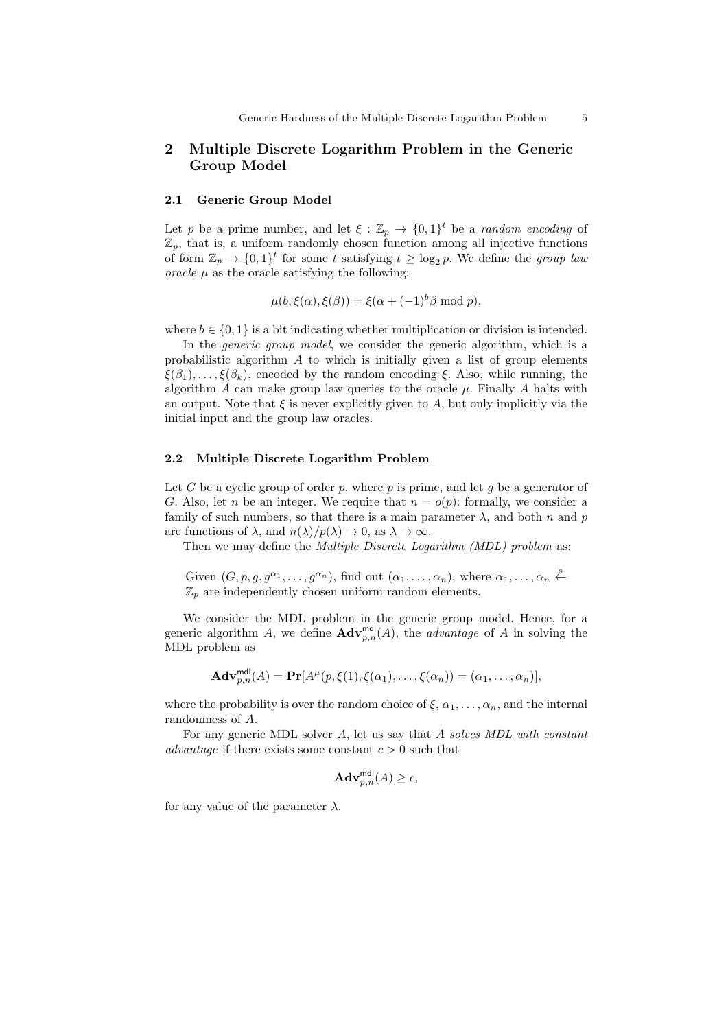# 2 Multiple Discrete Logarithm Problem in the Generic Group Model

#### 2.1 Generic Group Model

Let p be a prime number, and let  $\xi : \mathbb{Z}_p \to \{0,1\}^t$  be a random encoding of  $\mathbb{Z}_p$ , that is, a uniform randomly chosen function among all injective functions of form  $\mathbb{Z}_p \to \{0,1\}^t$  for some t satisfying  $t \ge \log_2 p$ . We define the group lau oracle  $\mu$  as the oracle satisfying the following:

$$
\mu(b,\xi(\alpha),\xi(\beta)) = \xi(\alpha + (-1)^b \beta \text{ mod } p),
$$

where  $b \in \{0, 1\}$  is a bit indicating whether multiplication or division is intended.

In the *generic group model*, we consider the generic algorithm, which is a probabilistic algorithm  $\tilde{A}$  to which is initially given a list of group elements  $\xi(\beta_1), \ldots, \xi(\beta_k)$ , encoded by the random encoding  $\xi$ . Also, while running, the algorithm  $A$  can make group law queries to the oracle  $\mu$ . Finally  $A$  halts with an output. Note that  $\xi$  is never explicitly given to A, but only implicitly via the initial input and the group law oracles.

#### 2.2 Multiple Discrete Logarithm Problem

Let G be a cyclic group of order p, where p is prime, and let q be a generator of G. Also, let n be an integer. We require that  $n = o(p)$ : formally, we consider a family of such numbers, so that there is a main parameter  $\lambda$ , and both n and n are functions of  $\lambda$ , and  $n(\lambda)/p(\lambda) \to 0$ , as  $\lambda \to \infty$ .

Then we may define the *Multiple Discrete Logarithm (MDL) problem* as:

Given  $(G, p, g, g^{\alpha_1}, \ldots, g^{\alpha_n})$ , find out  $(\alpha_1, \ldots, \alpha_n)$ , where  $\alpha_1, \ldots, \alpha_n \stackrel{\$}{\leftarrow}$  $\mathbb{Z}_p$  are independently chosen uniform random elements.

We consider the MDL problem in the generic group model. Hence, for a generic algorithm A, we define  $\mathbf{Adv}_{p,n}^{\text{md}}(A)$ , the *advantage* of A in solving the MDL problem as

$$
\mathbf{Adv}_{p,n}^{\mathsf{mdl}}(A) = \mathbf{Pr}[A^{\mu}(p,\xi(1),\xi(\alpha_1),\ldots,\xi(\alpha_n)) = (\alpha_1,\ldots,\alpha_n)],
$$

where the probability is over the random choice of  $\xi, \alpha_1, \ldots, \alpha_n$ , and the internal randomness of A.

For any generic MDL solver A, let us say that A solves MDL with constant advantage if there exists some constant  $c > 0$  such that

$$
\mathbf{Adv}_{p,n}^{\mathsf{mdl}}(A) \ge c,
$$

for any value of the parameter  $\lambda$ .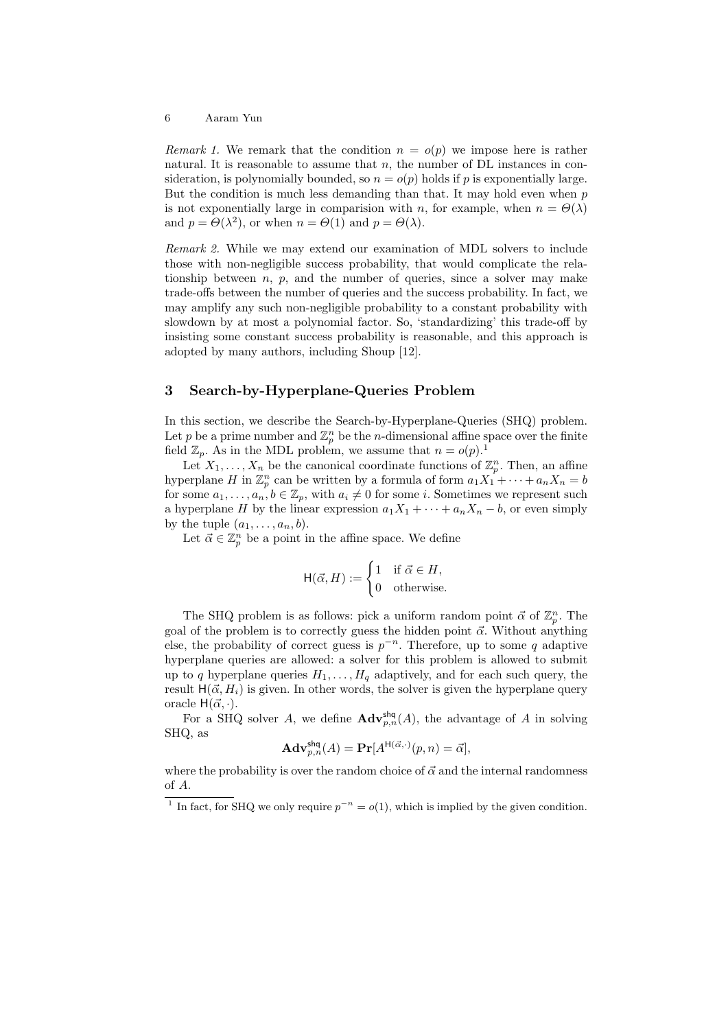Remark 1. We remark that the condition  $n = o(p)$  we impose here is rather natural. It is reasonable to assume that  $n$ , the number of DL instances in consideration, is polynomially bounded, so  $n = o(p)$  holds if p is exponentially large. But the condition is much less demanding than that. It may hold even when  $p$ is not exponentially large in comparision with n, for example, when  $n = \Theta(\lambda)$ and  $p = \Theta(\lambda^2)$ , or when  $n = \Theta(1)$  and  $p = \Theta(\lambda)$ .

Remark 2. While we may extend our examination of MDL solvers to include those with non-negligible success probability, that would complicate the relationship between  $n, p$ , and the number of queries, since a solver may make trade-offs between the number of queries and the success probability. In fact, we may amplify any such non-negligible probability to a constant probability with slowdown by at most a polynomial factor. So, 'standardizing' this trade-off by insisting some constant success probability is reasonable, and this approach is adopted by many authors, including Shoup [12].

# 3 Search-by-Hyperplane-Queries Problem

In this section, we describe the Search-by-Hyperplane-Queries (SHQ) problem. Let p be a prime number and  $\mathbb{Z}_p^n$  be the n-dimensional affine space over the finite field  $\mathbb{Z}_p$ . As in the MDL problem, we assume that  $n = o(p)$ .<sup>1</sup>

Let  $X_1, \ldots, X_n$  be the canonical coordinate functions of  $\mathbb{Z}_p^n$ . Then, an affine hyperplane H in  $\mathbb{Z}_p^n$  can be written by a formula of form  $a_1X_1^r + \cdots + a_nX_n = b$ for some  $a_1, \ldots, a_n, b \in \mathbb{Z}_p$ , with  $a_i \neq 0$  for some i. Sometimes we represent such a hyperplane H by the linear expression  $a_1X_1 + \cdots + a_nX_n - b$ , or even simply by the tuple  $(a_1, \ldots, a_n, b)$ .

Let  $\vec{\alpha} \in \mathbb{Z}_p^n$  be a point in the affine space. We define

$$
\mathsf{H}(\vec{\alpha}, H) := \begin{cases} 1 & \text{if } \vec{\alpha} \in H, \\ 0 & \text{otherwise.} \end{cases}
$$

The SHQ problem is as follows: pick a uniform random point  $\vec{\alpha}$  of  $\mathbb{Z}_p^n$ . The goal of the problem is to correctly guess the hidden point  $\vec{\alpha}$ . Without anything else, the probability of correct guess is  $p^{-n}$ . Therefore, up to some q adaptive hyperplane queries are allowed: a solver for this problem is allowed to submit up to q hyperplane queries  $H_1, \ldots, H_q$  adaptively, and for each such query, the result  $H(\vec{\alpha}, H_i)$  is given. In other words, the solver is given the hyperplane query oracle  $H(\vec{\alpha}, \cdot)$ .

For a SHQ solver A, we define  $\mathbf{Adv}_{p,n}^{\mathsf{shq}}(A)$ , the advantage of A in solving SHQ, as

$$
\mathbf{Adv}_{p,n}^{\mathsf{shq}}(A) = \mathbf{Pr}[A^{\mathsf{H}(\vec{\alpha},\cdot)}(p,n) = \vec{\alpha}],
$$

where the probability is over the random choice of  $\vec{\alpha}$  and the internal randomness of A.

<sup>&</sup>lt;sup>1</sup> In fact, for SHQ we only require  $p^{-n} = o(1)$ , which is implied by the given condition.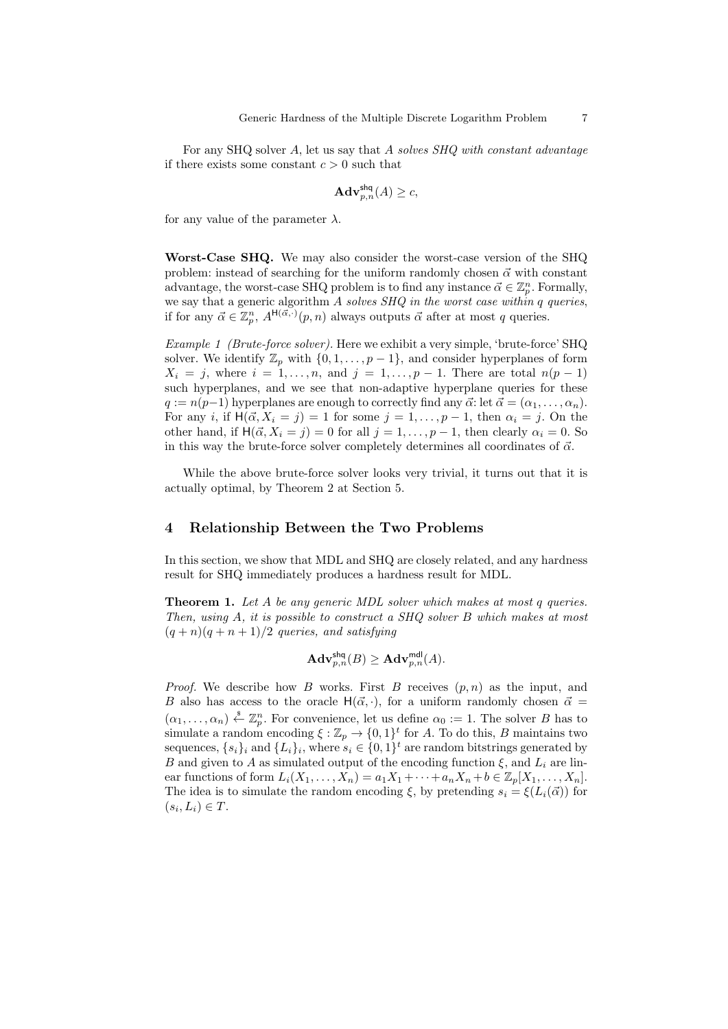For any SHQ solver A, let us say that A solves SHQ with constant advantage if there exists some constant  $c > 0$  such that

$$
\mathbf{Adv}_{p,n}^{\mathsf{shq}}(A) \geq c,
$$

for any value of the parameter  $\lambda$ .

Worst-Case SHQ. We may also consider the worst-case version of the SHQ problem: instead of searching for the uniform randomly chosen  $\vec{\alpha}$  with constant advantage, the worst-case SHQ problem is to find any instance  $\vec{\alpha} \in \mathbb{Z}_p^n$ . Formally, we say that a generic algorithm  $A$  solves  $SHQ$  in the worst case within q queries, if for any  $\vec{\alpha} \in \mathbb{Z}_p^n$ ,  $A^{\mathsf{H}(\vec{\alpha},\cdot)}(p,n)$  always outputs  $\vec{\alpha}$  after at most q queries.

Example 1 (Brute-force solver). Here we exhibit a very simple, 'brute-force' SHQ solver. We identify  $\mathbb{Z}_p$  with  $\{0, 1, \ldots, p-1\}$ , and consider hyperplanes of form  $X_i = j$ , where  $i = 1, \ldots, n$ , and  $j = 1, \ldots, p - 1$ . There are total  $n(p - 1)$ such hyperplanes, and we see that non-adaptive hyperplane queries for these  $q := n(p-1)$  hyperplanes are enough to correctly find any  $\vec{\alpha}$ : let  $\vec{\alpha} = (\alpha_1, \ldots, \alpha_n)$ . For any i, if  $H(\vec{\alpha}, X_i = j) = 1$  for some  $j = 1, \ldots, p - 1$ , then  $\alpha_i = j$ . On the other hand, if  $H(\vec{\alpha}, X_i = j) = 0$  for all  $j = 1, \ldots, p - 1$ , then clearly  $\alpha_i = 0$ . So in this way the brute-force solver completely determines all coordinates of  $\vec{\alpha}$ .

While the above brute-force solver looks very trivial, it turns out that it is actually optimal, by Theorem 2 at Section 5.

# 4 Relationship Between the Two Problems

In this section, we show that MDL and SHQ are closely related, and any hardness result for SHQ immediately produces a hardness result for MDL.

**Theorem 1.** Let A be any generic MDL solver which makes at most q queries. Then, using A, it is possible to construct a SHQ solver B which makes at most  $(q + n)(q + n + 1)/2$  queries, and satisfying

$$
\mathbf{Adv}_{p,n}^{\mathsf{shq}}(B) \geq \mathbf{Adv}_{p,n}^{\mathsf{mdl}}(A).
$$

*Proof.* We describe how B works. First B receives  $(p, n)$  as the input, and B also has access to the oracle  $H(\vec{\alpha}, \cdot)$ , for a uniform randomly chosen  $\vec{\alpha} =$  $(\alpha_1,\ldots,\alpha_n) \stackrel{\hspace{0.1em}\mathsf{\scriptscriptstyle\$}}{\leftarrow} \mathbb{Z}_p^n$ . For convenience, let us define  $\alpha_0 := 1$ . The solver B has to simulate a random encoding  $\xi : \mathbb{Z}_p \to \{0,1\}^t$  for A. To do this, B maintains two sequences,  $\{s_i\}_i$  and  $\{L_i\}_i$ , where  $s_i \in \{0,1\}^t$  are random bitstrings generated by B and given to A as simulated output of the encoding function  $\xi$ , and  $L_i$  are linear functions of form  $L_i(X_1,\ldots,X_n) = a_1X_1 + \cdots + a_nX_n + b \in \mathbb{Z}_p[X_1,\ldots,X_n].$ The idea is to simulate the random encoding  $\xi$ , by pretending  $s_i = \xi(L_i(\vec{\alpha}))$  for  $(s_i, L_i) \in T$ .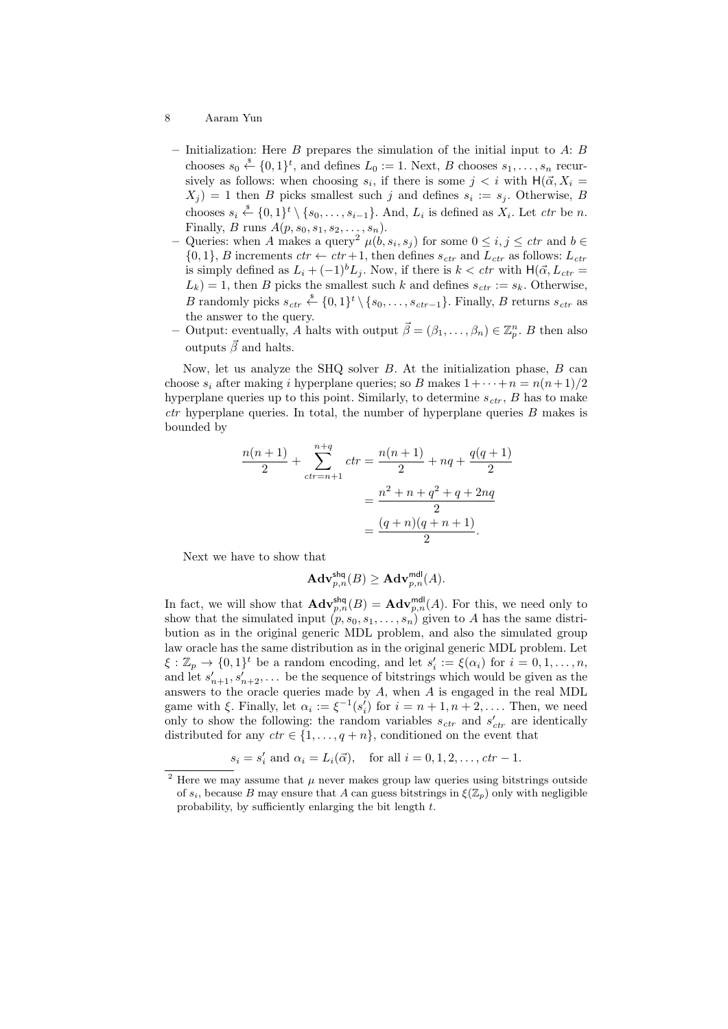- 8 Aaram Yun
	- Initialization: Here B prepares the simulation of the initial input to  $A: B$ chooses  $s_0 \stackrel{\$}{\leftarrow} \{0,1\}^t$ , and defines  $L_0 := 1$ . Next, B chooses  $s_1, \ldots, s_n$  recursively as follows: when choosing  $s_i$ , if there is some  $j < i$  with  $H(\vec{\alpha}, X_i =$  $(X_j) = 1$  then B picks smallest such j and defines  $s_i := s_j$ . Otherwise, B chooses  $s_i \stackrel{\$}{\leftarrow} \{0,1\}^t \setminus \{s_0,\ldots,s_{i-1}\}.$  And,  $L_i$  is defined as  $X_i$ . Let *ctr* be *n*. Finally, B runs  $A(p, s_0, s_1, s_2, \ldots, s_n)$ .
	- Queries: when A makes a query<sup>2</sup>  $\mu(b, s_i, s_j)$  for some  $0 \le i, j \le ctr$  and  $b \in$  $\{0, 1\}$ , B increments  $ctr \leftarrow 1$ , then defines  $s_{ctr}$  and  $L_{ctr}$  as follows:  $L_{ctr}$ is simply defined as  $L_i + (-1)^b L_j$ . Now, if there is  $k < c$ tr with H( $\vec{\alpha}, L_{ctr}$  =  $L_k$ ) = 1, then B picks the smallest such k and defines  $s_{ctr} := s_k$ . Otherwise, B randomly picks  $s_{ctr} \stackrel{\$}{\leftarrow} \{0,1\}^t \setminus \{s_0,\ldots,s_{ctr-1}\}.$  Finally, B returns  $s_{ctr}$  as the answer to the query.
	- Output: eventually, A halts with output  $\vec{\beta} = (\beta_1, \ldots, \beta_n) \in \mathbb{Z}_p^n$ . B then also outputs  $\vec{\beta}$  and halts.

Now, let us analyze the SHQ solver  $B$ . At the initialization phase,  $B$  can choose  $s_i$  after making i hyperplane queries; so B makes  $1+\cdots+n=n(n+1)/2$ hyperplane queries up to this point. Similarly, to determine  $s_{ctr}$ , B has to make  $ctr$  hyperplane queries. In total, the number of hyperplane queries  $B$  makes is bounded by

$$
\frac{n(n+1)}{2} + \sum_{ctr=n+1}^{n+q}ctr = \frac{n(n+1)}{2} + nq + \frac{q(q+1)}{2}
$$

$$
= \frac{n^2 + n + q^2 + q + 2nq}{2}
$$

$$
= \frac{(q+n)(q+n+1)}{2}.
$$

Next we have to show that

$$
\mathbf{Adv}_{p,n}^{\mathsf{shq}}(B) \geq \mathbf{Adv}_{p,n}^{\mathsf{mdl}}(A).
$$

In fact, we will show that  $\mathbf{Adv}_{p,n}^{\mathsf{shq}}(B) = \mathbf{Adv}_{p,n}^{\mathsf{mdl}}(A)$ . For this, we need only to show that the simulated input  $(p, s_0, s_1, \ldots, s_n)$  given to A has the same distribution as in the original generic MDL problem, and also the simulated group law oracle has the same distribution as in the original generic MDL problem. Let  $\xi : \mathbb{Z}_p \to \{0,1\}^t$  be a random encoding, and let  $s'_i := \xi(\alpha_i)$  for  $i = 0, 1, \ldots, n$ , and let  $s'_{n+1}, s'_{n+2}, \ldots$  be the sequence of bitstrings which would be given as the answers to the oracle queries made by  $A$ , when  $A$  is engaged in the real MDL game with  $\xi$ . Finally, let  $\alpha_i := \xi^{-1}(s_i')$  for  $i = n + 1, n + 2, \dots$ . Then, we need only to show the following: the random variables  $s_{ctr}$  and  $s'_{ctr}$  are identically distributed for any  $ctr \in \{1, \ldots, q+n\}$ , conditioned on the event that

$$
s_i = s'_i
$$
 and  $\alpha_i = L_i(\vec{\alpha})$ , for all  $i = 0, 1, 2, \ldots$ ,  $ctr - 1$ .

<sup>&</sup>lt;sup>2</sup> Here we may assume that  $\mu$  never makes group law queries using bitstrings outside of  $s_i$ , because B may ensure that A can guess bitstrings in  $\xi(\mathbb{Z}_p)$  only with negligible probability, by sufficiently enlarging the bit length t.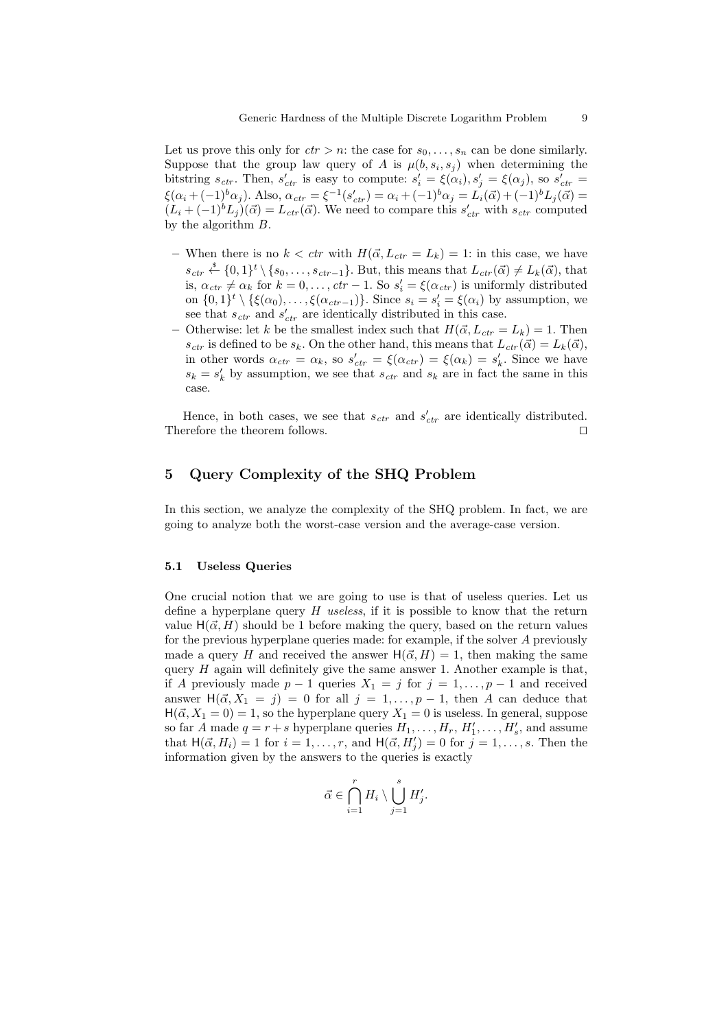Let us prove this only for  $ctr > n$ : the case for  $s_0, \ldots, s_n$  can be done similarly. Suppose that the group law query of A is  $\mu(b, s_i, s_j)$  when determining the bitstring  $s_{ctr}$ . Then,  $s'_{ctr}$  is easy to compute:  $s'_i = \xi(\alpha_i)$ ,  $s'_j = \xi(\alpha_j)$ , so  $s'_{ctr} =$  $\xi(\alpha_i + (-1)^b \alpha_j)$ . Also,  $\alpha_{ctr} = \xi^{-1}(s'_{ctr}) = \alpha_i + (-1)^b \alpha_j = L_i(\vec{\alpha}) + (-1)^b L_j(\vec{\alpha}) =$  $(L_i + (-1)^b L_j)(\vec{\alpha}) = L_{ctr}(\vec{\alpha})$ . We need to compare this  $s'_{ctr}$  with  $s_{ctr}$  computed by the algorithm B.

- When there is no  $k < \text{ctr}$  with  $H(\vec{\alpha}, L_{\text{ctr}} = L_k) = 1$ : in this case, we have  $s_{ctr} \stackrel{\$}{\leftarrow} \{0,1\}^t \setminus \{s_0,\ldots,s_{ctr-1}\}.$  But, this means that  $L_{ctr}(\vec{\alpha}) \neq L_k(\vec{\alpha})$ , that is,  $\alpha_{ctr} \neq \alpha_k$  for  $k = 0, \ldots, \text{ctr} - 1$ . So  $s_i' = \xi(\alpha_{ctr})$  is uniformly distributed on  $\{0,1\}^t \setminus \{\xi(\alpha_0),\ldots,\xi(\alpha_{ctr-1})\}$ . Since  $s_i = s'_i = \xi(\alpha_i)$  by assumption, we see that  $s_{ctr}$  and  $s'_{ctr}$  are identically distributed in this case.
- Otherwise: let k be the smallest index such that  $H(\vec{\alpha}, L_{ctr} = L_k) = 1$ . Then  $s_{ctr}$  is defined to be  $s_k$ . On the other hand, this means that  $L_{ctr}(\vec{\alpha}) = L_k(\vec{\alpha}),$ in other words  $\alpha_{ctr} = \alpha_k$ , so  $s'_{ctr} = \xi(\alpha_{ctr}) = \xi(\alpha_k) = s'_k$ . Since we have  $s_k = s'_k$  by assumption, we see that  $s_{ctr}$  and  $s_k$  are in fact the same in this case.

Hence, in both cases, we see that  $s_{ctr}$  and  $s'_{ctr}$  are identically distributed. Therefore the theorem follows.  $\Box$ 

# 5 Query Complexity of the SHQ Problem

In this section, we analyze the complexity of the SHQ problem. In fact, we are going to analyze both the worst-case version and the average-case version.

#### 5.1 Useless Queries

One crucial notion that we are going to use is that of useless queries. Let us define a hyperplane query  $H$  useless, if it is possible to know that the return value  $H(\vec{\alpha}, H)$  should be 1 before making the query, based on the return values for the previous hyperplane queries made: for example, if the solver A previously made a query H and received the answer  $H(\vec{\alpha}, H) = 1$ , then making the same query  $H$  again will definitely give the same answer 1. Another example is that, if A previously made  $p-1$  queries  $X_1 = j$  for  $j = 1, \ldots, p-1$  and received answer  $H(\vec{\alpha}, X_1 = j) = 0$  for all  $j = 1, \ldots, p-1$ , then A can deduce that  $H(\vec{\alpha}, X_1 = 0) = 1$ , so the hyperplane query  $X_1 = 0$  is useless. In general, suppose so far A made  $q = r + s$  hyperplane queries  $H_1, \ldots, H_r, H'_1, \ldots, H'_s$ , and assume that  $H(\vec{\alpha}, H_i) = 1$  for  $i = 1, ..., r$ , and  $H(\vec{\alpha}, H'_j) = 0$  for  $j = 1, ..., s$ . Then the information given by the answers to the queries is exactly

$$
\vec{\alpha}\in \bigcap_{i=1}^r H_i\setminus \bigcup_{j=1}^s H'_j.
$$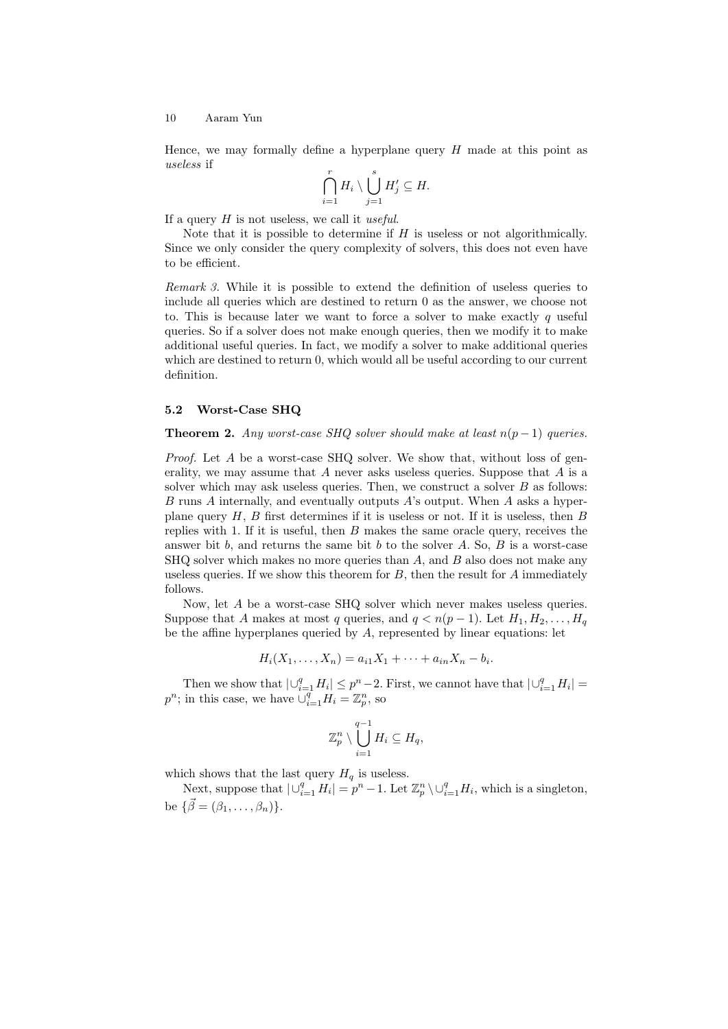Hence, we may formally define a hyperplane query  $H$  made at this point as useless if

$$
\bigcap_{i=1}^r H_i \setminus \bigcup_{j=1}^s H'_j \subseteq H.
$$

If a query  $H$  is not useless, we call it *useful*.

Note that it is possible to determine if  $H$  is useless or not algorithmically. Since we only consider the query complexity of solvers, this does not even have to be efficient.

Remark 3. While it is possible to extend the definition of useless queries to include all queries which are destined to return 0 as the answer, we choose not to. This is because later we want to force a solver to make exactly  $q$  useful queries. So if a solver does not make enough queries, then we modify it to make additional useful queries. In fact, we modify a solver to make additional queries which are destined to return 0, which would all be useful according to our current definition.

# 5.2 Worst-Case SHQ

**Theorem 2.** Any worst-case SHQ solver should make at least  $n(p-1)$  queries.

Proof. Let A be a worst-case SHQ solver. We show that, without loss of generality, we may assume that A never asks useless queries. Suppose that A is a solver which may ask useless queries. Then, we construct a solver  $B$  as follows: B runs A internally, and eventually outputs A's output. When A asks a hyperplane query  $H, B$  first determines if it is useless or not. If it is useless, then  $B$ replies with 1. If it is useful, then  $B$  makes the same oracle query, receives the answer bit  $b$ , and returns the same bit  $b$  to the solver  $A$ . So,  $B$  is a worst-case  $SHQ$  solver which makes no more queries than  $A$ , and  $B$  also does not make any useless queries. If we show this theorem for  $B$ , then the result for  $A$  immediately follows.

Now, let A be a worst-case SHQ solver which never makes useless queries. Suppose that A makes at most q queries, and  $q < n(p-1)$ . Let  $H_1, H_2, \ldots, H_q$ be the affine hyperplanes queried by A, represented by linear equations: let

$$
H_i(X_1, ..., X_n) = a_{i1}X_1 + \cdots + a_{in}X_n - b_i.
$$

Then we show that  $|\bigcup_{i=1}^q H_i| \leq p^n - 2$ . First, we cannot have that  $|\bigcup_{i=1}^q H_i|$  $p^n$ ; in this case, we have  $\overline{\cup_{i=1}^q}H_i=\mathbb{Z}_p^n$ , so

$$
\mathbb{Z}_p^n \setminus \bigcup_{i=1}^{q-1} H_i \subseteq H_q,
$$

which shows that the last query  $H_q$  is useless.

Next, suppose that  $|\bigcup_{i=1}^q H_i| = p^n - 1$ . Let  $\mathbb{Z}_p^n \setminus \bigcup_{i=1}^q H_i$ , which is a singleton, be  $\{\vec{\beta} = (\beta_1, \ldots, \beta_n)\}.$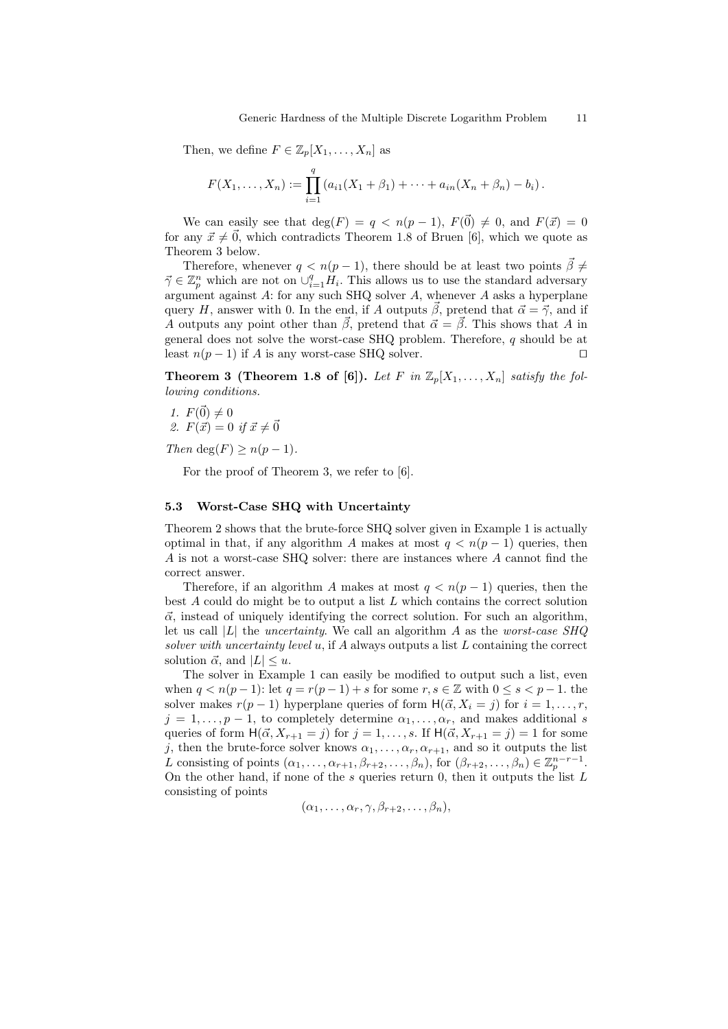Then, we define  $F \in \mathbb{Z}_p[X_1,\ldots,X_n]$  as

$$
F(X_1,\ldots,X_n) := \prod_{i=1}^q (a_{i1}(X_1+\beta_1)+\cdots+a_{in}(X_n+\beta_n)-b_i).
$$

We can easily see that  $\deg(F) = q \leq n(p-1)$ ,  $F(\vec{0}) \neq 0$ , and  $F(\vec{x}) = 0$ for any  $\vec{x} \neq \vec{0}$ , which contradicts Theorem 1.8 of Bruen [6], which we quote as Theorem 3 below.

Therefore, whenever  $q < n(p-1)$ , there should be at least two points  $\vec{\beta} \neq$  $\vec{\gamma} \in \mathbb{Z}_p^n$  which are not on  $\cup_{i=1}^q \tilde{H}_i$ . This allows us to use the standard adversary argument against  $A$ : for any such SHQ solver  $A$ , whenever  $A$  asks a hyperplane query H, answer with 0. In the end, if A outputs  $\vec{\beta}$ , pretend that  $\vec{\alpha} = \vec{\gamma}$ , and if A outputs any point other than  $\vec{\beta}$ , pretend that  $\vec{\alpha} = \vec{\beta}$ . This shows that A in general does not solve the worst-case SHQ problem. Therefore, q should be at least  $n(p-1)$  if A is any worst-case SHQ solver.  $\square$ 

**Theorem 3 (Theorem 1.8 of [6]).** Let F in  $\mathbb{Z}_p[X_1, \ldots, X_n]$  satisfy the following conditions.

1.  $F(\vec{0}) \neq 0$ 2.  $F(\vec{x}) = 0$  if  $\vec{x} \neq \vec{0}$ 

Then deg(F)  $> n(p-1)$ .

For the proof of Theorem 3, we refer to [6].

#### 5.3 Worst-Case SHQ with Uncertainty

Theorem 2 shows that the brute-force SHQ solver given in Example 1 is actually optimal in that, if any algorithm A makes at most  $q < n(p-1)$  queries, then A is not a worst-case SHQ solver: there are instances where A cannot find the correct answer.

Therefore, if an algorithm A makes at most  $q < n(p-1)$  queries, then the best A could do might be to output a list L which contains the correct solution  $\vec{\alpha}$ , instead of uniquely identifying the correct solution. For such an algorithm, let us call  $|L|$  the *uncertainty*. We call an algorithm A as the *worst-case*  $SHQ$ solver with uncertainty level  $u$ , if A always outputs a list  $L$  containing the correct solution  $\vec{\alpha}$ , and  $|L| \leq u$ .

The solver in Example 1 can easily be modified to output such a list, even when  $q < n(p-1)$ : let  $q = r(p-1) + s$  for some  $r, s \in \mathbb{Z}$  with  $0 \le s < p-1$ . the solver makes  $r(p-1)$  hyperplane queries of form  $H(\vec{\alpha}, X_i = j)$  for  $i = 1, \ldots, r$ ,  $j = 1, \ldots, p - 1$ , to completely determine  $\alpha_1, \ldots, \alpha_r$ , and makes additional s queries of form  $H(\vec{\alpha}, X_{r+1} = j)$  for  $j = 1, ..., s$ . If  $H(\vec{\alpha}, X_{r+1} = j) = 1$  for some j, then the brute-force solver knows  $\alpha_1, \ldots, \alpha_r, \alpha_{r+1}$ , and so it outputs the list L consisting of points  $(\alpha_1, \ldots, \alpha_{r+1}, \beta_{r+2}, \ldots, \beta_n)$ , for  $(\beta_{r+2}, \ldots, \beta_n) \in \mathbb{Z}_p^{n-r-1}$ . On the other hand, if none of the  $s$  queries return 0, then it outputs the list  $L$ consisting of points

$$
(\alpha_1,\ldots,\alpha_r,\gamma,\beta_{r+2},\ldots,\beta_n),
$$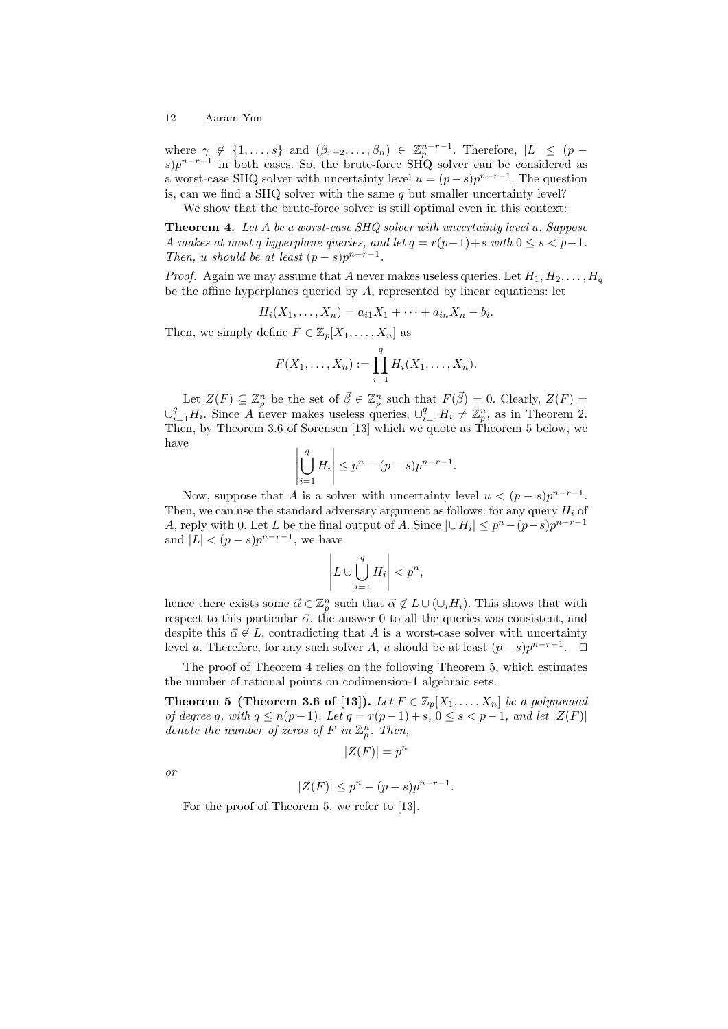where  $\gamma \notin \{1,\ldots,s\}$  and  $(\beta_{r+2},\ldots,\beta_n) \in \mathbb{Z}_p^{n-r-1}$ . Therefore,  $|L| \leq (p-1)$  $s$ ) $p^{n-r-1}$  in both cases. So, the brute-force SHQ solver can be considered as a worst-case SHQ solver with uncertainty level  $u = (p - s)p^{n-r-1}$ . The question is, can we find a SHQ solver with the same  $q$  but smaller uncertainty level? We show that the brute-force solver is still optimal even in this context:

**Theorem 4.** Let A be a worst-case SHQ solver with uncertainty level u. Suppose A makes at most q hyperplane queries, and let  $q = r(p-1) + s$  with  $0 \le s < p-1$ . Then, u should be at least  $(p-s)p^{n-r-1}$ .

*Proof.* Again we may assume that A never makes useless queries. Let  $H_1, H_2, \ldots, H_q$ be the affine hyperplanes queried by A, represented by linear equations: let

$$
H_i(X_1, ..., X_n) = a_{i1}X_1 + \cdots + a_{in}X_n - b_i.
$$

Then, we simply define  $F \in \mathbb{Z}_p[X_1,\ldots,X_n]$  as

$$
F(X_1, ..., X_n) := \prod_{i=1}^q H_i(X_1, ..., X_n).
$$

Let  $Z(F) \subseteq \mathbb{Z}_p^n$  be the set of  $\vec{\beta} \in \mathbb{Z}_p^n$  such that  $F(\vec{\beta}) = 0$ . Clearly,  $Z(F) =$  $\cup_{i=1}^q H_i$ . Since A never makes useless queries,  $\cup_{i=1}^q H_i \neq \mathbb{Z}_p^n$ , as in Theorem 2. Then, by Theorem 3.6 of Sorensen [13] which we quote as Theorem 5 below, we have

$$
\left|\bigcup_{i=1}^{q} H_i\right| \le p^n - (p-s)p^{n-r-1}.
$$

Now, suppose that A is a solver with uncertainty level  $u < (p - s)p^{n-r-1}$ . Then, we can use the standard adversary argument as follows: for any query  $H_i$  of A, reply with 0. Let L be the final output of A. Since  $|\cup H_i| \leq p^{n} - (p-s)p^{n-r-1}$ and  $|L| < (p-s)p^{n-r-1}$ , we have

$$
\left| L \cup \bigcup_{i=1}^q H_i \right| < p^n,
$$

hence there exists some  $\vec{\alpha} \in \mathbb{Z}_p^n$  such that  $\vec{\alpha} \notin L \cup (\cup_i H_i)$ . This shows that with respect to this particular  $\vec{\alpha}$ , the answer 0 to all the queries was consistent, and despite this  $\vec{\alpha} \notin L$ , contradicting that A is a worst-case solver with uncertainty level u. Therefore, for any such solver A, u should be at least  $(p-s)p^{n-r-1}$ . □

The proof of Theorem 4 relies on the following Theorem 5, which estimates the number of rational points on codimension-1 algebraic sets.

**Theorem 5 (Theorem 3.6 of [13]).** Let  $F \in \mathbb{Z}_p[X_1,\ldots,X_n]$  be a polynomial of degree q, with  $q \leq n(p-1)$ . Let  $q = r(p-1) + s$ ,  $0 \leq s < p-1$ , and let  $|Z(F)|$ denote the number of zeros of F in  $\mathbb{Z}_p^n$ . Then,

$$
|Z(F)| = p^n
$$

or

$$
|Z(F)| \le p^n - (p - s)p^{n - r - 1}.
$$

For the proof of Theorem 5, we refer to [13].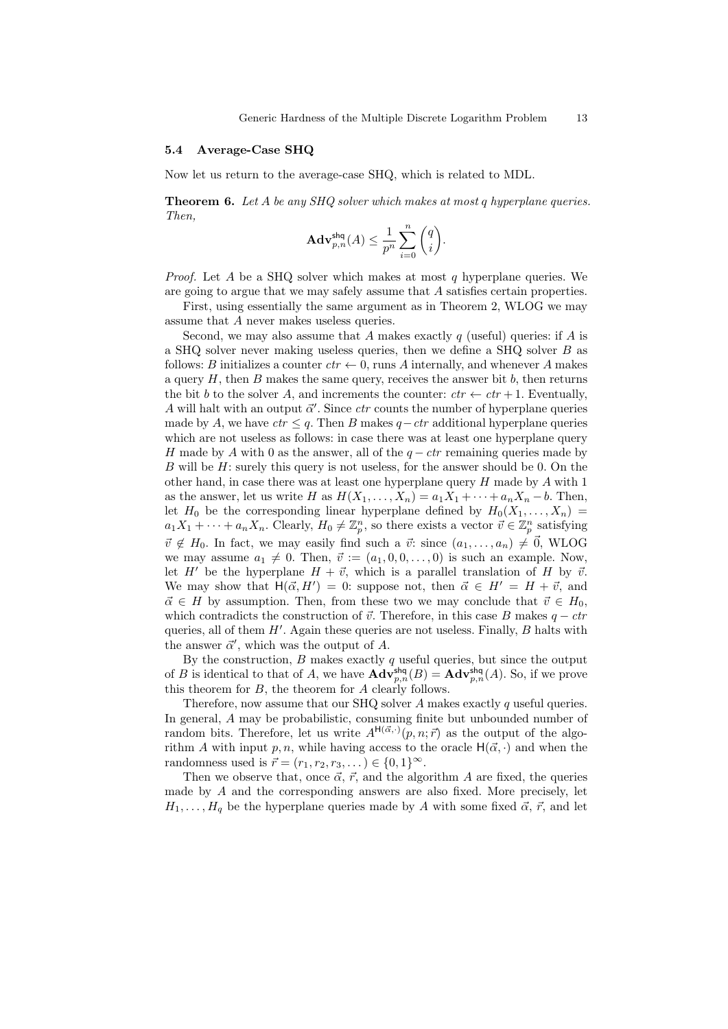#### 5.4 Average-Case SHQ

Now let us return to the average-case SHQ, which is related to MDL.

**Theorem 6.** Let A be any SHQ solver which makes at most q hyperplane queries. Then,

$$
\mathbf{Adv}_{p,n}^{\mathsf{shq}}(A) \le \frac{1}{p^n} \sum_{i=0}^n \binom{q}{i}.
$$

*Proof.* Let A be a SHQ solver which makes at most q hyperplane queries. We are going to argue that we may safely assume that A satisfies certain properties.

First, using essentially the same argument as in Theorem 2, WLOG we may assume that A never makes useless queries.

Second, we may also assume that A makes exactly q (useful) queries: if A is a SHQ solver never making useless queries, then we define a SHQ solver B as follows: B initializes a counter  $ctr \leftarrow 0$ , runs A internally, and whenever A makes a query  $H$ , then  $B$  makes the same query, receives the answer bit  $b$ , then returns the bit b to the solver A, and increments the counter:  $ctr \leftarrow ctr + 1$ . Eventually, A will halt with an output  $\vec{\alpha}'$ . Since *ctr* counts the number of hyperplane queries made by A, we have  $ctr \leq q$ . Then B makes  $q-ctr$  additional hyperplane queries which are not useless as follows: in case there was at least one hyperplane query H made by A with 0 as the answer, all of the  $q - ctr$  remaining queries made by  $B$  will be  $H$ : surely this query is not useless, for the answer should be 0. On the other hand, in case there was at least one hyperplane query  $H$  made by  $A$  with  $1$ as the answer, let us write H as  $H(X_1, \ldots, X_n) = a_1 X_1 + \cdots + a_n X_n - b$ . Then, let  $H_0$  be the corresponding linear hyperplane defined by  $H_0(X_1, \ldots, X_n)$  $a_1X_1 + \cdots + a_nX_n$ . Clearly,  $H_0 \neq \mathbb{Z}_p^n$ , so there exists a vector  $\vec{v} \in \mathbb{Z}_p^n$  satisfying  $\vec{v} \notin H_0$ . In fact, we may easily find such a  $\vec{v}$ : since  $(a_1, \ldots, a_n) \neq \vec{0}$ , WLOG we may assume  $a_1 \neq 0$ . Then,  $\vec{v} := (a_1, 0, 0, \ldots, 0)$  is such an example. Now, let H<sup> $\prime$ </sup> be the hyperplane  $H + \vec{v}$ , which is a parallel translation of H by  $\vec{v}$ . We may show that  $H(\vec{\alpha}, H') = 0$ : suppose not, then  $\vec{\alpha} \in H' = H + \vec{v}$ , and  $\vec{\alpha} \in H$  by assumption. Then, from these two we may conclude that  $\vec{v} \in H_0$ , which contradicts the construction of  $\vec{v}$ . Therefore, in this case B makes  $q - \text{ctr}$ queries, all of them  $H'$ . Again these queries are not useless. Finally,  $B$  halts with the answer  $\vec{\alpha}'$ , which was the output of A.

By the construction,  $B$  makes exactly  $q$  useful queries, but since the output of B is identical to that of A, we have  $\mathbf{Adv}_{p,n}^{\mathsf{shq}}(B) = \mathbf{Adv}_{p,n}^{\mathsf{shq}}(A)$ . So, if we prove this theorem for  $B$ , the theorem for  $A$  clearly follows.

Therefore, now assume that our SHQ solver  $A$  makes exactly  $q$  useful queries. In general, A may be probabilistic, consuming finite but unbounded number of random bits. Therefore, let us write  $A^{H(\vec{\alpha},.)}(p,n;\vec{r})$  as the output of the algorithm A with input p, n, while having access to the oracle  $H(\vec{\alpha}, \cdot)$  and when the randomness used is  $\vec{r} = (r_1, r_2, r_3, ...) \in \{0, 1\}^{\infty}$ .

Then we observe that, once  $\vec{\alpha}$ ,  $\vec{r}$ , and the algorithm A are fixed, the queries made by A and the corresponding answers are also fixed. More precisely, let  $H_1, \ldots, H_q$  be the hyperplane queries made by A with some fixed  $\vec{\alpha}, \vec{r}$ , and let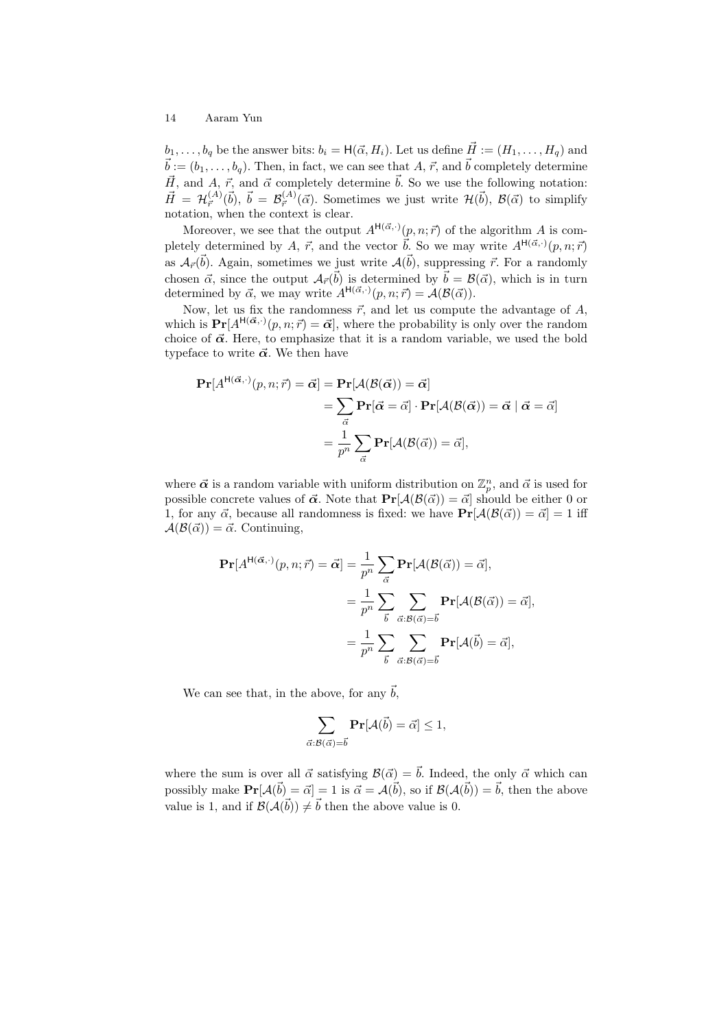H(α~ ,·)

 $b_1, \ldots, b_q$  be the answer bits:  $b_i = H(\vec{\alpha}, H_i)$ . Let us define  $\vec{H} := (H_1, \ldots, H_q)$  and  $\vec{b} := (b_1, \ldots, b_q)$ . Then, in fact, we can see that A,  $\vec{r}$ , and  $\vec{b}$  completely determine  $\vec{H}$ , and  $\vec{A}$ ,  $\vec{r}$ , and  $\vec{\alpha}$  completely determine  $\vec{b}$ . So we use the following notation:  $\vec{H} = \mathcal{H}^{(A)}_{\vec{r}}(\vec{b}), \ \vec{b} = \mathcal{B}^{(A)}_{\vec{r}}(\vec{\alpha})$ . Sometimes we just write  $\mathcal{H}(\vec{b}), \ \mathcal{B}(\vec{\alpha})$  to simplify notation, when the context is clear.

Moreover, we see that the output  $A^{H(\vec{\alpha},\cdot)}(p,n;\vec{r})$  of the algorithm A is completely determined by A,  $\vec{r}$ , and the vector  $\vec{b}$ . So we may write  $A^{H(\vec{\alpha},\cdot)}(p,n;\vec{r})$ as  $\mathcal{A}_{\vec{r}}(\vec{b})$ . Again, sometimes we just write  $\mathcal{A}(\vec{b})$ , suppressing  $\vec{r}$ . For a randomly chosen  $\vec{\alpha}$ , since the output  $\mathcal{A}_{\vec{r}}(\vec{b})$  is determined by  $\vec{b} = \mathcal{B}(\vec{\alpha})$ , which is in turn determined by  $\vec{\alpha}$ , we may write  $A^{H(\vec{\alpha},\cdot)}(p,n;\vec{r}) = A(\mathcal{B}(\vec{\alpha}))$ .

Now, let us fix the randomness  $\vec{r}$ , and let us compute the advantage of  $A$ , which is  $\Pr[A^{H(\vec{\alpha},\cdot)}(p,n;\vec{r}) = \vec{\alpha}]$ , where the probability is only over the random choice of  $\vec{\alpha}$ . Here, to emphasize that it is a random variable, we used the bold typeface to write  $\vec{\alpha}$ . We then have

$$
\begin{aligned} \mathbf{Pr}[A^{\mathsf{H}(\vec{\alpha},\cdot)}(p,n;\vec{r}) = \vec{\alpha}] &= \mathbf{Pr}[\mathcal{A}(\mathcal{B}(\vec{\alpha})) = \vec{\alpha}] \\ &= \sum_{\vec{\alpha}} \mathbf{Pr}[\vec{\alpha} = \vec{\alpha}] \cdot \mathbf{Pr}[\mathcal{A}(\mathcal{B}(\vec{\alpha})) = \vec{\alpha} \mid \vec{\alpha} = \vec{\alpha}] \\ &= \frac{1}{p^n} \sum_{\vec{\alpha}} \mathbf{Pr}[\mathcal{A}(\mathcal{B}(\vec{\alpha})) = \vec{\alpha}], \end{aligned}
$$

where  $\vec{\alpha}$  is a random variable with uniform distribution on  $\mathbb{Z}_p^n$ , and  $\vec{\alpha}$  is used for possible concrete values of  $\vec{\alpha}$ . Note that  $Pr[\mathcal{A}(\mathcal{B}(\vec{\alpha})) = \vec{\alpha}]$  should be either 0 or 1, for any  $\vec{\alpha}$ , because all randomness is fixed: we have  $Pr[\mathcal{A}(\mathcal{B}(\vec{\alpha})) = \vec{\alpha}] = 1$  iff  $A(\mathcal{B}(\vec{\alpha})) = \vec{\alpha}$ . Continuing,

$$
\mathbf{Pr}[A^{\mathsf{H}(\vec{\alpha},\cdot)}(p,n;\vec{r}) = \vec{\alpha}] = \frac{1}{p^n} \sum_{\vec{\alpha}} \mathbf{Pr}[\mathcal{A}(\mathcal{B}(\vec{\alpha})) = \vec{\alpha}],
$$

$$
= \frac{1}{p^n} \sum_{\vec{b}} \sum_{\vec{\alpha}:\mathcal{B}(\vec{\alpha}) = \vec{b}} \mathbf{Pr}[\mathcal{A}(\mathcal{B}(\vec{\alpha})) = \vec{\alpha}],
$$

$$
= \frac{1}{p^n} \sum_{\vec{b}} \sum_{\vec{\alpha}:\mathcal{B}(\vec{\alpha}) = \vec{b}} \mathbf{Pr}[\mathcal{A}(\vec{b}) = \vec{\alpha}],
$$

We can see that, in the above, for any  $\vec{b}$ ,

$$
\sum_{\vec{\alpha}:\mathcal{B}(\vec{\alpha})=\vec{b}}\mathbf{Pr}[\mathcal{A}(\vec{b})=\vec{\alpha}]\leq 1,
$$

where the sum is over all  $\vec{\alpha}$  satisfying  $\mathcal{B}(\vec{\alpha}) = \vec{b}$ . Indeed, the only  $\vec{\alpha}$  which can possibly make  $\Pr[\mathcal{A}(\vec{b}) = \vec{\alpha}] = 1$  is  $\vec{\alpha} = \mathcal{A}(\vec{b})$ , so if  $\mathcal{B}(\mathcal{A}(\vec{b})) = \vec{b}$ , then the above value is 1, and if  $\mathcal{B}(\mathcal{A}(\vec{b})) \neq \vec{b}$  then the above value is 0.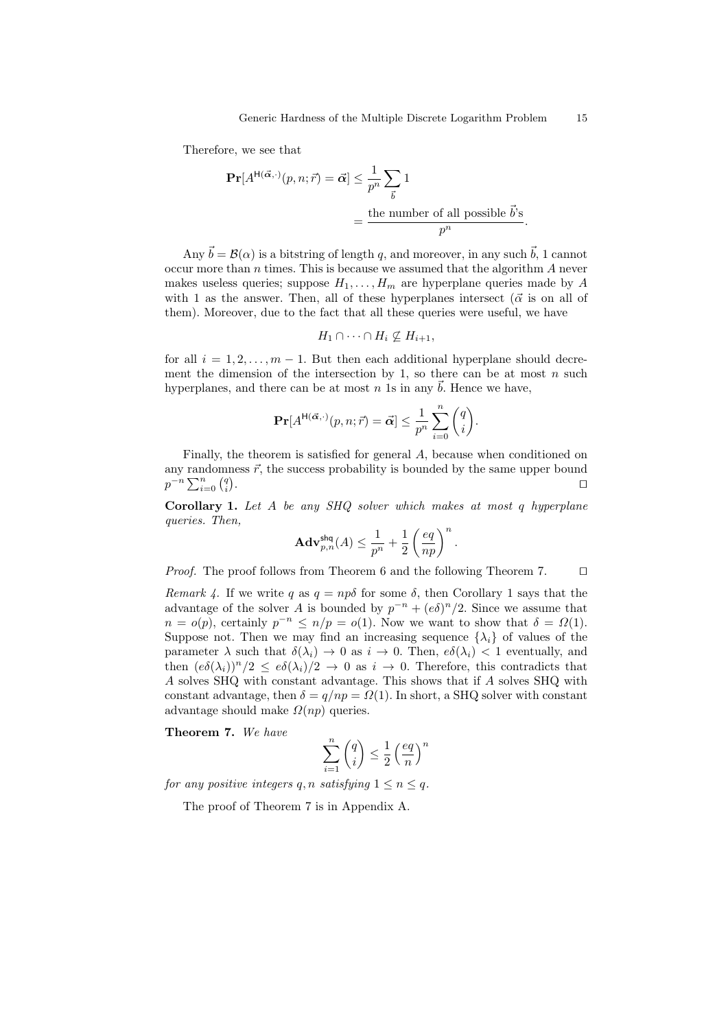Therefore, we see that

$$
\begin{aligned} \Pr[A^{\mathsf{H}(\vec{\alpha},\cdot)}(p,n;\vec{r}) = \vec{\alpha}] &\leq \frac{1}{p^n} \sum_{\vec{b}} 1 \\ &= \frac{\text{the number of all possible } \vec{b}^{\cdot} \mathsf{s}}{p^n}. \end{aligned}
$$

Any  $\vec{b} = \mathcal{B}(\alpha)$  is a bitstring of length q, and moreover, in any such  $\vec{b}$ , 1 cannot occur more than  $n$  times. This is because we assumed that the algorithm  $A$  never makes useless queries; suppose  $H_1, \ldots, H_m$  are hyperplane queries made by A with 1 as the answer. Then, all of these hyperplanes intersect ( $\vec{\alpha}$  is on all of them). Moreover, due to the fact that all these queries were useful, we have

$$
H_1 \cap \cdots \cap H_i \nsubseteq H_{i+1},
$$

for all  $i = 1, 2, \ldots, m - 1$ . But then each additional hyperplane should decrement the dimension of the intersection by 1, so there can be at most  $n$  such hyperplanes, and there can be at most  $n$  1s in any  $\ddot{b}$ . Hence we have,

$$
\mathbf{Pr}[A^{\mathsf{H}(\vec{\alpha},\cdot)}(p,n;\vec{r}) = \vec{\alpha}] \leq \frac{1}{p^n} \sum_{i=0}^n \binom{q}{i}.
$$

Finally, the theorem is satisfied for general A, because when conditioned on any randomness  $\vec{r}$ , the success probability is bounded by the same upper bound  $p^{-n}\sum_{i=0}^n\binom{q}{i}$ . The contract of the contract of the contract of the contract of  $\Box$ 

Corollary 1. Let A be any SHQ solver which makes at most q hyperplane queries. Then,

$$
\mathbf{Adv}_{p,n}^{\mathsf{shq}}(A) \leq \frac{1}{p^n} + \frac{1}{2}\left(\frac{eq}{np}\right)^n.
$$

*Proof.* The proof follows from Theorem 6 and the following Theorem 7.  $\Box$ 

Remark 4. If we write q as  $q = np\delta$  for some  $\delta$ , then Corollary 1 says that the advantage of the solver A is bounded by  $p^{-n} + (e \delta)^n/2$ . Since we assume that  $n = o(p)$ , certainly  $p^{-n} \le n/p = o(1)$ . Now we want to show that  $\delta = \Omega(1)$ . Suppose not. Then we may find an increasing sequence  $\{\lambda_i\}$  of values of the parameter  $\lambda$  such that  $\delta(\lambda_i) \to 0$  as  $i \to 0$ . Then,  $e\delta(\lambda_i) < 1$  eventually, and then  $(e\delta(\lambda_i))^n/2 \leq e\delta(\lambda_i)/2 \to 0$  as  $i \to 0$ . Therefore, this contradicts that A solves SHQ with constant advantage. This shows that if A solves SHQ with constant advantage, then  $\delta = q/np = \Omega(1)$ . In short, a SHQ solver with constant advantage should make  $\Omega(np)$  queries.

Theorem 7. We have

$$
\sum_{i=1}^{n} \binom{q}{i} \le \frac{1}{2} \left(\frac{eq}{n}\right)^n
$$

for any positive integers q, n satisfying  $1 \le n \le q$ .

The proof of Theorem 7 is in Appendix A.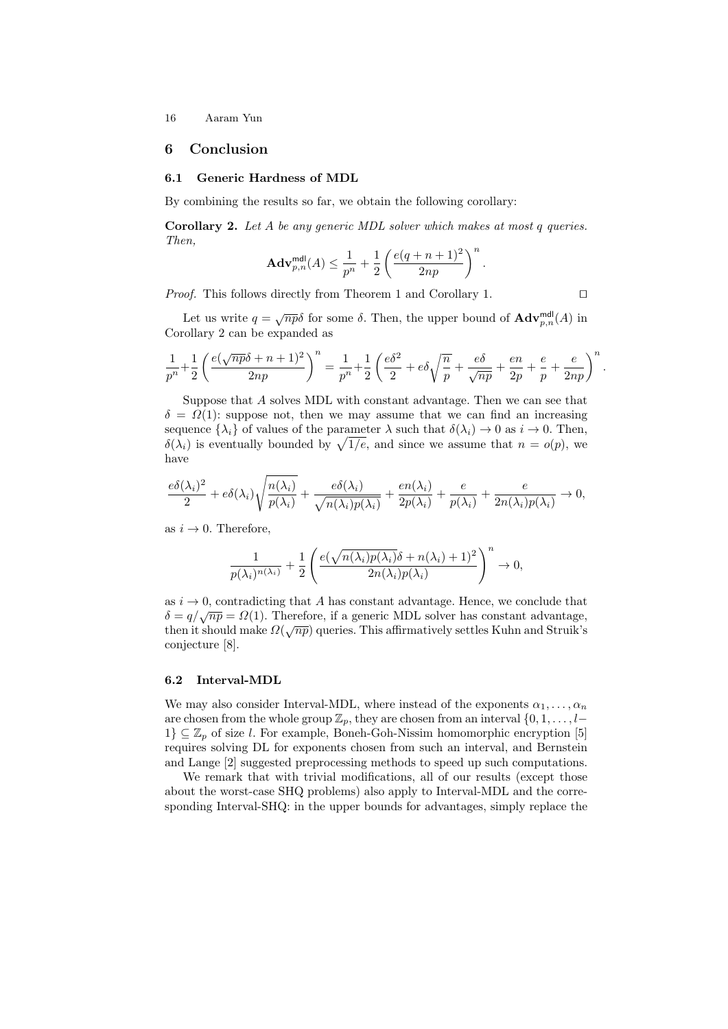# 6 Conclusion

#### 6.1 Generic Hardness of MDL

By combining the results so far, we obtain the following corollary:

Corollary 2. Let A be any generic MDL solver which makes at most q queries. Then,

$$
\mathbf{Adv}_{p,n}^{\mathsf{mdl}}(A) \leq \frac{1}{p^n} + \frac{1}{2}\left(\frac{e(q+n+1)^2}{2np}\right)^n
$$

*Proof.* This follows directly from Theorem 1 and Corollary 1.  $\Box$ 

.

Let us write  $q = \sqrt{np\delta}$  for some  $\delta$ . Then, the upper bound of  $\mathbf{Adv}_{p,n}^{\text{mdl}}(A)$  in Corollary 2 can be expanded as

$$
\frac{1}{p^n}+\frac{1}{2}\left(\frac{e(\sqrt{np}\delta+n+1)^2}{2np}\right)^n=\frac{1}{p^n}+\frac{1}{2}\left(\frac{e\delta^2}{2}+e\delta\sqrt{\frac{n}{p}}+\frac{e\delta}{\sqrt{np}}+\frac{en}{2p}+\frac{e}{p}+\frac{e}{2np}\right)^n.
$$

Suppose that A solves MDL with constant advantage. Then we can see that  $\delta = \Omega(1)$ : suppose not, then we may assume that we can find an increasing sequence  $\{\lambda_i\}$  of values of the parameter  $\lambda$  such that  $\delta(\lambda_i) \to 0$  as  $i \to 0$ . Then,  $\delta(\lambda_i)$  is eventually bounded by  $\sqrt{1/e}$ , and since we assume that  $n = o(p)$ , we have

$$
\frac{e\delta(\lambda_i)^2}{2} + e\delta(\lambda_i)\sqrt{\frac{n(\lambda_i)}{p(\lambda_i)}} + \frac{e\delta(\lambda_i)}{\sqrt{n(\lambda_i)p(\lambda_i)}} + \frac{en(\lambda_i)}{2p(\lambda_i)} + \frac{e}{p(\lambda_i)} + \frac{e}{2n(\lambda_i)p(\lambda_i)} \to 0,
$$

as  $i \rightarrow 0$ . Therefore,

$$
\frac{1}{p(\lambda_i)^{n(\lambda_i)}} + \frac{1}{2} \left( \frac{e(\sqrt{n(\lambda_i)p(\lambda_i)}\delta + n(\lambda_i) + 1)^2}{2n(\lambda_i)p(\lambda_i)} \right)^n \to 0,
$$

as  $i \to 0$ , contradicting that A has constant advantage. Hence, we conclude that  $\delta = q/\sqrt{np} = \Omega(1)$ . Therefore, if a generic MDL solver has constant advantage,  $\Omega = q/\sqrt{n}p = 32(1)$ . Therefore, it a generic MDL solver has constant advantage, then it should make  $\Omega(\sqrt{np})$  queries. This affirmatively settles Kuhn and Struik's conjecture [8].

#### 6.2 Interval-MDL

We may also consider Interval-MDL, where instead of the exponents  $\alpha_1, \ldots, \alpha_n$ are chosen from the whole group  $\mathbb{Z}_p$ , they are chosen from an interval  $\{0, 1, \ldots, l-\}$  $1\} \subseteq \mathbb{Z}_p$  of size l. For example, Boneh-Goh-Nissim homomorphic encryption [5] requires solving DL for exponents chosen from such an interval, and Bernstein and Lange [2] suggested preprocessing methods to speed up such computations.

We remark that with trivial modifications, all of our results (except those about the worst-case SHQ problems) also apply to Interval-MDL and the corresponding Interval-SHQ: in the upper bounds for advantages, simply replace the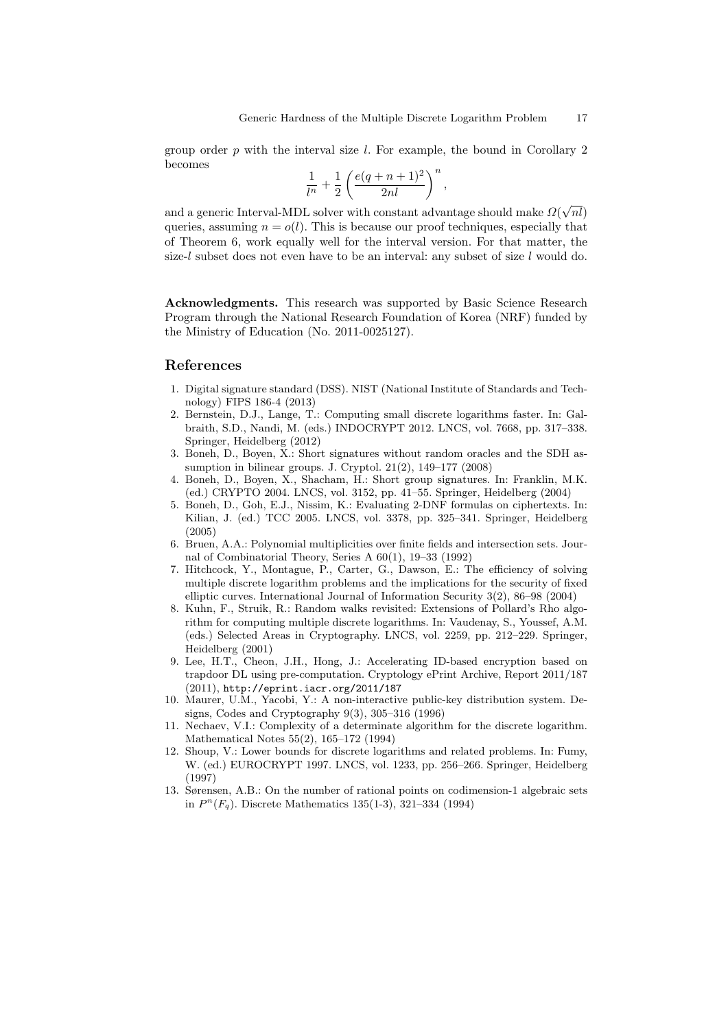group order  $p$  with the interval size l. For example, the bound in Corollary 2 becomes

$$
\frac{1}{l^n}+\frac{1}{2}\left(\frac{e(q+n+1)^2}{2nl}\right)^n,
$$

and a generic Interval-MDL solver with constant advantage should make  $\Omega$ √  $\it nl)$ queries, assuming  $n = o(l)$ . This is because our proof techniques, especially that of Theorem 6, work equally well for the interval version. For that matter, the size-l subset does not even have to be an interval: any subset of size l would do.

Acknowledgments. This research was supported by Basic Science Research Program through the National Research Foundation of Korea (NRF) funded by the Ministry of Education (No. 2011-0025127).

### References

- 1. Digital signature standard (DSS). NIST (National Institute of Standards and Technology) FIPS 186-4 (2013)
- 2. Bernstein, D.J., Lange, T.: Computing small discrete logarithms faster. In: Galbraith, S.D., Nandi, M. (eds.) INDOCRYPT 2012. LNCS, vol. 7668, pp. 317–338. Springer, Heidelberg (2012)
- 3. Boneh, D., Boyen, X.: Short signatures without random oracles and the SDH assumption in bilinear groups. J. Cryptol. 21(2), 149–177 (2008)
- 4. Boneh, D., Boyen, X., Shacham, H.: Short group signatures. In: Franklin, M.K. (ed.) CRYPTO 2004. LNCS, vol. 3152, pp. 41–55. Springer, Heidelberg (2004)
- 5. Boneh, D., Goh, E.J., Nissim, K.: Evaluating 2-DNF formulas on ciphertexts. In: Kilian, J. (ed.) TCC 2005. LNCS, vol. 3378, pp. 325–341. Springer, Heidelberg (2005)
- 6. Bruen, A.A.: Polynomial multiplicities over finite fields and intersection sets. Journal of Combinatorial Theory, Series A 60(1), 19–33 (1992)
- 7. Hitchcock, Y., Montague, P., Carter, G., Dawson, E.: The efficiency of solving multiple discrete logarithm problems and the implications for the security of fixed elliptic curves. International Journal of Information Security 3(2), 86–98 (2004)
- 8. Kuhn, F., Struik, R.: Random walks revisited: Extensions of Pollard's Rho algorithm for computing multiple discrete logarithms. In: Vaudenay, S., Youssef, A.M. (eds.) Selected Areas in Cryptography. LNCS, vol. 2259, pp. 212–229. Springer, Heidelberg (2001)
- 9. Lee, H.T., Cheon, J.H., Hong, J.: Accelerating ID-based encryption based on trapdoor DL using pre-computation. Cryptology ePrint Archive, Report 2011/187 (2011), http://eprint.iacr.org/2011/187
- 10. Maurer, U.M., Yacobi, Y.: A non-interactive public-key distribution system. Designs, Codes and Cryptography 9(3), 305–316 (1996)
- 11. Nechaev, V.I.: Complexity of a determinate algorithm for the discrete logarithm. Mathematical Notes 55(2), 165–172 (1994)
- 12. Shoup, V.: Lower bounds for discrete logarithms and related problems. In: Fumy, W. (ed.) EUROCRYPT 1997. LNCS, vol. 1233, pp. 256–266. Springer, Heidelberg (1997)
- 13. Sørensen, A.B.: On the number of rational points on codimension-1 algebraic sets in  $P^{n}(F_q)$ . Discrete Mathematics 135(1-3), 321-334 (1994)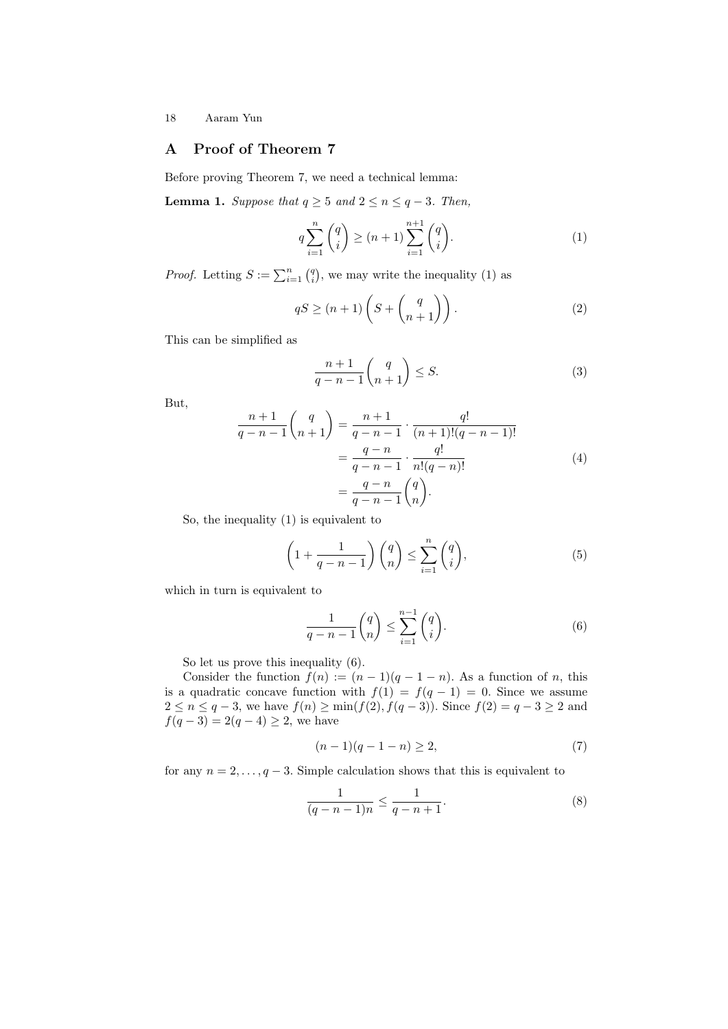# A Proof of Theorem 7

Before proving Theorem 7, we need a technical lemma:

**Lemma 1.** Suppose that  $q \geq 5$  and  $2 \leq n \leq q-3$ . Then,

$$
q\sum_{i=1}^{n} \binom{q}{i} \ge (n+1) \sum_{i=1}^{n+1} \binom{q}{i}.
$$
 (1)

*Proof.* Letting  $S := \sum_{i=1}^{n} {q \choose i}$ , we may write the inequality (1) as

$$
qS \ge (n+1)\left(S + \begin{pmatrix} q \\ n+1 \end{pmatrix}\right).
$$
 (2)

This can be simplified as

$$
\frac{n+1}{q-n-1} {q \choose n+1} \le S.
$$
 (3)

But,

$$
\frac{n+1}{q-n-1} {q \choose n+1} = \frac{n+1}{q-n-1} \cdot \frac{q!}{(n+1)!(q-n-1)!}
$$

$$
= \frac{q-n}{q-n-1} \cdot \frac{q!}{n!(q-n)!}
$$
(4)
$$
= \frac{q-n}{q-n-1} {q \choose n}.
$$

So, the inequality (1) is equivalent to

$$
\left(1 + \frac{1}{q - n - 1}\right)\binom{q}{n} \le \sum_{i=1}^{n} \binom{q}{i},\tag{5}
$$

which in turn is equivalent to

$$
\frac{1}{q-n-1} \binom{q}{n} \le \sum_{i=1}^{n-1} \binom{q}{i}.\tag{6}
$$

So let us prove this inequality (6).

Consider the function  $f(n) := (n-1)(q-1-n)$ . As a function of n, this is a quadratic concave function with  $f(1) = f(q-1) = 0$ . Since we assume  $2 \le n \le q-3$ , we have  $f(n) \ge \min(f(2), f(q-3))$ . Since  $f(2) = q-3 \ge 2$  and  $f(q-3) = 2(q-4) \geq 2$ , we have

$$
(n-1)(q-1-n) \ge 2,
$$
\n(7)

for any  $n = 2, \ldots, q - 3$ . Simple calculation shows that this is equivalent to

$$
\frac{1}{(q-n-1)n} \le \frac{1}{q-n+1}.\tag{8}
$$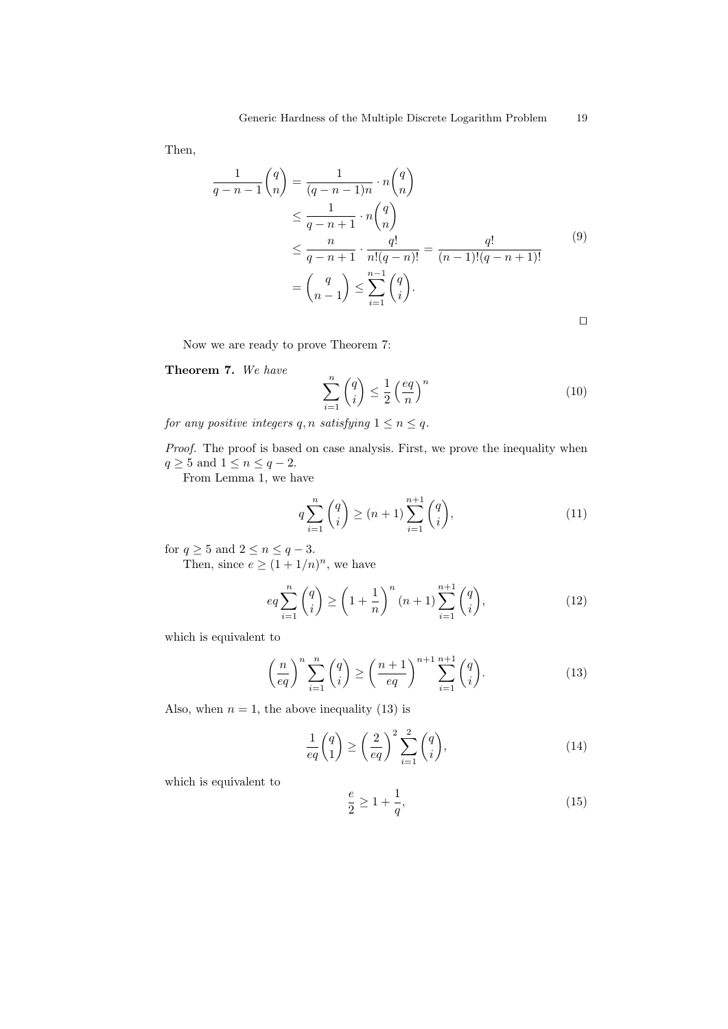Then,

$$
\frac{1}{q-n-1} \binom{q}{n} = \frac{1}{(q-n-1)n} \cdot n \binom{q}{n} \n\leq \frac{1}{q-n+1} \cdot n \binom{q}{n} \n\leq \frac{n}{q-n+1} \cdot \frac{q!}{n!(q-n)!} = \frac{q!}{(n-1)!(q-n+1)!} \n= \binom{q}{n-1} \leq \sum_{i=1}^{n-1} \binom{q}{i}.
$$
\n
$$
\Box
$$

Now we are ready to prove Theorem 7:

Theorem 7. We have

$$
\sum_{i=1}^{n} \binom{q}{i} \le \frac{1}{2} \left(\frac{eq}{n}\right)^n \tag{10}
$$

for any positive integers q, n satisfying  $1 \le n \le q$ .

Proof. The proof is based on case analysis. First, we prove the inequality when  $q \geq 5$  and  $1 \leq n \leq q-2$ .

From Lemma 1, we have

$$
q\sum_{i=1}^{n} \binom{q}{i} \ge (n+1) \sum_{i=1}^{n+1} \binom{q}{i},\tag{11}
$$

for  $q \geq 5$  and  $2 \leq n \leq q-3$ .

Then, since  $e \geq (1 + 1/n)^n$ , we have

$$
eq \sum_{i=1}^{n} {q \choose i} \ge \left(1 + \frac{1}{n}\right)^n (n+1) \sum_{i=1}^{n+1} {q \choose i}, \tag{12}
$$

which is equivalent to

$$
\left(\frac{n}{eq}\right)^n \sum_{i=1}^n \binom{q}{i} \ge \left(\frac{n+1}{eq}\right)^{n+1} \sum_{i=1}^{n+1} \binom{q}{i}.\tag{13}
$$

Also, when  $n = 1$ , the above inequality (13) is

$$
\frac{1}{eq} \binom{q}{1} \ge \left(\frac{2}{eq}\right)^2 \sum_{i=1}^2 \binom{q}{i},\tag{14}
$$

which is equivalent to

$$
\frac{e}{2} \ge 1 + \frac{1}{q},\tag{15}
$$